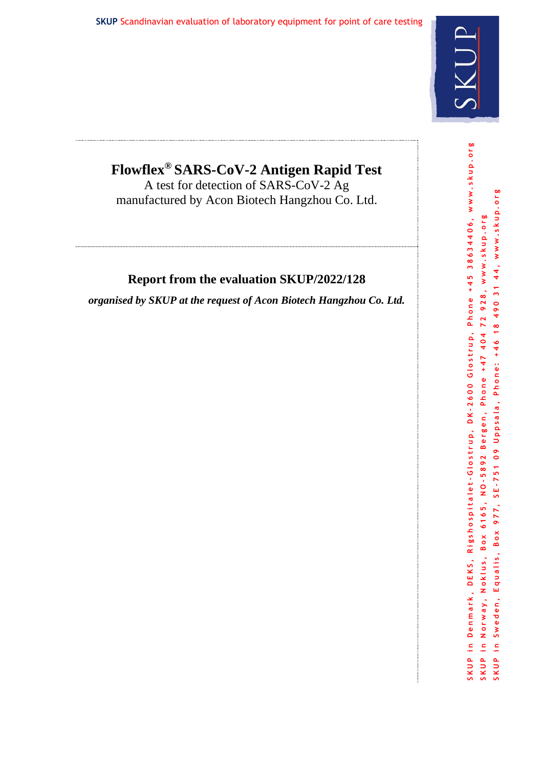

# **Flowflex® SARS-CoV-2 Antigen Rapid Test**

A test for detection of SARS-CoV-2 Ag manufactured by Acon Biotech Hangzhou Co. Ltd.

# **Report from the evaluation SKUP/2022/128**

*organised by SKUP at the request of Acon Biotech Hangzhou Co. Ltd.*

Phone +45 38634406, www.skup.org SKUP in Denmark, DEKS, Rigshospitalet-Glostrup, DK-2600 Glostrup, Phone +45 38634406, www.skup.org SKUP in Sweden, Equalis, Box 977, SE-751 09 Uppsala, Phone: +46 18 490 31 44, www.skup.org Box 977, SE-751 09 Uppsala, Phone: +46 18 490 31 44, www.skup.org NO-5892 Bergen, Phone +47 404 72 928, www.skup.org SKUP in Norway, Noklus, Box 6165, NO-5892 Bergen, Phone +47 404 72 928, www.skup.org Rigshospitalet-Glostrup, DK-2600 Glostrup, Box 6165, Equalis, Norway, Noklus, SKUP in Denmark, DEKS, Sweden, SKUP in  $\frac{1}{2}$ SKUP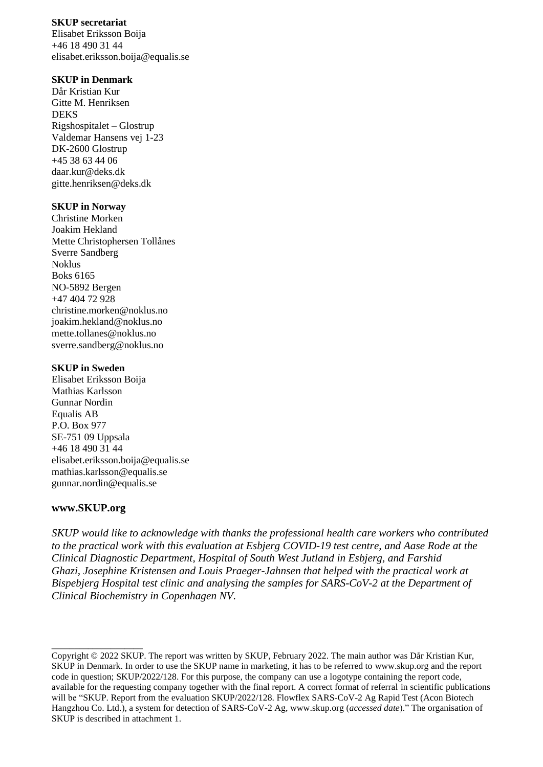#### **SKUP secretariat**

Elisabet Eriksson Boija +46 18 490 31 44 elisabet.eriksson.boija@equalis.se

#### **SKUP in Denmark**

Dår Kristian Kur Gitte M. Henriksen DEKS Rigshospitalet – Glostrup Valdemar Hansens vej 1-23 DK-2600 Glostrup +45 38 63 44 06 daar.kur@deks.dk gitte.henriksen@deks.dk

#### **SKUP in Norway**

Christine Morken Joakim Hekland Mette Christophersen Tollånes Sverre Sandberg Noklus Boks 6165 NO-5892 Bergen +47 404 72 928 christine.morken@noklus.no [joakim.hekland@noklus.no](mailto:joakim.hekland@noklus.no) mette.tollanes@noklus.no sverre.sandberg@noklus.no

#### **SKUP in Sweden**

Elisabet Eriksson Boija Mathias Karlsson Gunnar Nordin Equalis AB P.O. Box 977 SE-751 09 Uppsala +46 18 490 31 44 elisabet.eriksson.boija@equalis.se mathias.karlsson@equalis.se [gunnar.nordin@equalis.se](mailto:gunnar.nordin@equalis.se)

#### **www.SKUP.org**

\_\_\_\_\_\_\_\_\_\_\_\_\_\_\_\_\_\_\_\_

*SKUP would like to acknowledge with thanks the professional health care workers who contributed to the practical work with this evaluation at Esbjerg COVID-19 test centre, and Aase Rode at the Clinical Diagnostic Department, Hospital of South West Jutland in Esbjerg, and Farshid Ghazi, Josephine Kristensen and Louis Praeger-Jahnsen that helped with the practical work at Bispebjerg Hospital test clinic and analysing the samples for SARS-CoV-2 at the Department of Clinical Biochemistry in Copenhagen NV.* 

Copyright © 2022 SKUP. The report was written by SKUP, February 2022. The main author was Dår Kristian Kur, SKUP in Denmark. In order to use the SKUP name in marketing, it has to be referred to www.skup.org and the report code in question; SKUP/2022/128. For this purpose, the company can use a logotype containing the report code, available for the requesting company together with the final report. A correct format of referral in scientific publications will be "SKUP. Report from the evaluation SKUP/2022/128. Flowflex SARS-CoV-2 Ag Rapid Test (Acon Biotech Hangzhou Co. Ltd.), a system for detection of SARS-CoV-2 Ag, www.skup.org (*accessed date*)." The organisation of SKUP is described in attachment 1.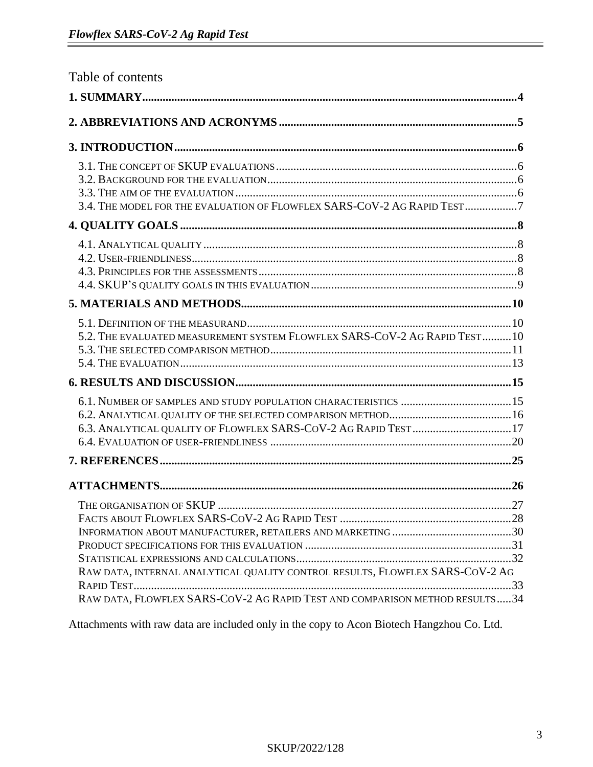| Table of contents                                                             |  |
|-------------------------------------------------------------------------------|--|
|                                                                               |  |
|                                                                               |  |
|                                                                               |  |
|                                                                               |  |
|                                                                               |  |
|                                                                               |  |
| 3.4. THE MODEL FOR THE EVALUATION OF FLOWFLEX SARS-COV-2 AG RAPID TEST7       |  |
|                                                                               |  |
|                                                                               |  |
|                                                                               |  |
|                                                                               |  |
|                                                                               |  |
|                                                                               |  |
|                                                                               |  |
| 5.2. THE EVALUATED MEASUREMENT SYSTEM FLOWFLEX SARS-COV-2 AG RAPID TEST10     |  |
|                                                                               |  |
|                                                                               |  |
|                                                                               |  |
|                                                                               |  |
|                                                                               |  |
| 6.3. ANALYTICAL QUALITY OF FLOWFLEX SARS-COV-2 AG RAPID TEST  17              |  |
|                                                                               |  |
|                                                                               |  |
|                                                                               |  |
| THE ORGANISATION OF SKUP                                                      |  |
|                                                                               |  |
|                                                                               |  |
|                                                                               |  |
|                                                                               |  |
| RAW DATA, INTERNAL ANALYTICAL QUALITY CONTROL RESULTS, FLOWFLEX SARS-COV-2 AG |  |
|                                                                               |  |
| RAW DATA, FLOWFLEX SARS-COV-2 AG RAPID TEST AND COMPARISON METHOD RESULTS34   |  |

Attachments with raw data are included only in the copy to Acon Biotech Hangzhou Co. Ltd.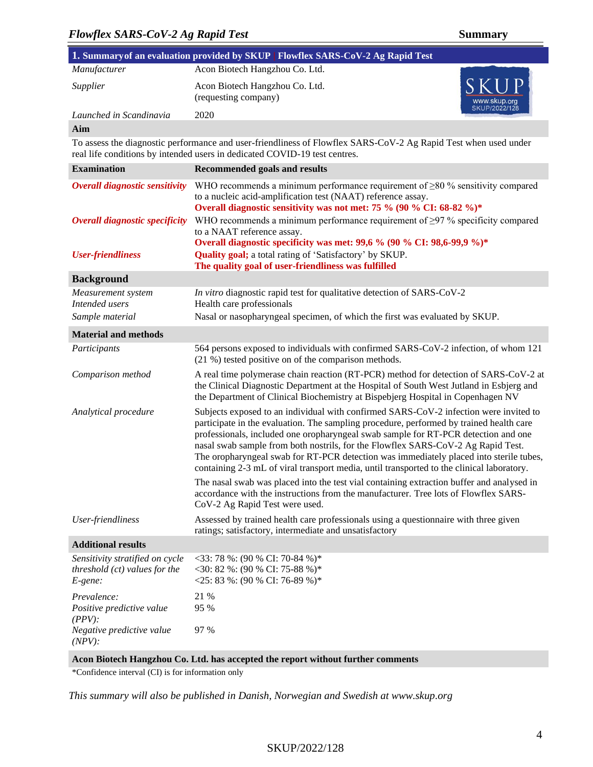| 1. Summary of an evaluation provided by SKUP   Flowflex SARS-CoV-2 Ag Rapid Test |                                                        |                                       |  |  |
|----------------------------------------------------------------------------------|--------------------------------------------------------|---------------------------------------|--|--|
| Manufacturer                                                                     | Acon Biotech Hangzhou Co. Ltd.                         |                                       |  |  |
| Supplier                                                                         | Acon Biotech Hangzhou Co. Ltd.<br>(requesting company) | SKUP<br>www.skup.org<br>SKUP/2022/128 |  |  |
| Launched in Scandinavia                                                          | 2020                                                   |                                       |  |  |

#### **Aim**

To assess the diagnostic performance and user-friendliness of Flowflex SARS-CoV-2 Ag Rapid Test when used under real life conditions by intended users in dedicated COVID-19 test centres.

| <b>Examination</b>                                                          | <b>Recommended goals and results</b>                                                                                                                                                                                                                                                                                                                                                                                                                                                                                                              |
|-----------------------------------------------------------------------------|---------------------------------------------------------------------------------------------------------------------------------------------------------------------------------------------------------------------------------------------------------------------------------------------------------------------------------------------------------------------------------------------------------------------------------------------------------------------------------------------------------------------------------------------------|
| <b>Overall diagnostic sensitivity</b>                                       | WHO recommends a minimum performance requirement of $\geq 80$ % sensitivity compared<br>to a nucleic acid-amplification test (NAAT) reference assay.<br>Overall diagnostic sensitivity was not met: 75 % (90 % CI: 68-82 %)*                                                                                                                                                                                                                                                                                                                      |
| <b>Overall diagnostic specificity</b>                                       | WHO recommends a minimum performance requirement of $\geq$ 97 % specificity compared<br>to a NAAT reference assay.                                                                                                                                                                                                                                                                                                                                                                                                                                |
| <b>User-friendliness</b>                                                    | Overall diagnostic specificity was met: 99,6 % (90 % CI: 98,6-99,9 %)*<br>Quality goal; a total rating of 'Satisfactory' by SKUP.<br>The quality goal of user-friendliness was fulfilled                                                                                                                                                                                                                                                                                                                                                          |
| <b>Background</b>                                                           |                                                                                                                                                                                                                                                                                                                                                                                                                                                                                                                                                   |
| Measurement system<br>Intended users                                        | In vitro diagnostic rapid test for qualitative detection of SARS-CoV-2<br>Health care professionals                                                                                                                                                                                                                                                                                                                                                                                                                                               |
| Sample material                                                             | Nasal or nasopharyngeal specimen, of which the first was evaluated by SKUP.                                                                                                                                                                                                                                                                                                                                                                                                                                                                       |
| <b>Material and methods</b>                                                 |                                                                                                                                                                                                                                                                                                                                                                                                                                                                                                                                                   |
| Participants                                                                | 564 persons exposed to individuals with confirmed SARS-CoV-2 infection, of whom 121<br>(21 %) tested positive on of the comparison methods.                                                                                                                                                                                                                                                                                                                                                                                                       |
| Comparison method                                                           | A real time polymerase chain reaction (RT-PCR) method for detection of SARS-CoV-2 at<br>the Clinical Diagnostic Department at the Hospital of South West Jutland in Esbjerg and<br>the Department of Clinical Biochemistry at Bispebjerg Hospital in Copenhagen NV                                                                                                                                                                                                                                                                                |
| Analytical procedure                                                        | Subjects exposed to an individual with confirmed SARS-CoV-2 infection were invited to<br>participate in the evaluation. The sampling procedure, performed by trained health care<br>professionals, included one oropharyngeal swab sample for RT-PCR detection and one<br>nasal swab sample from both nostrils, for the Flowflex SARS-CoV-2 Ag Rapid Test.<br>The oropharyngeal swab for RT-PCR detection was immediately placed into sterile tubes,<br>containing 2-3 mL of viral transport media, until transported to the clinical laboratory. |
|                                                                             | The nasal swab was placed into the test vial containing extraction buffer and analysed in<br>accordance with the instructions from the manufacturer. Tree lots of Flowflex SARS-<br>CoV-2 Ag Rapid Test were used.                                                                                                                                                                                                                                                                                                                                |
| User-friendliness                                                           | Assessed by trained health care professionals using a questionnaire with three given<br>ratings; satisfactory, intermediate and unsatisfactory                                                                                                                                                                                                                                                                                                                                                                                                    |
| <b>Additional results</b>                                                   |                                                                                                                                                                                                                                                                                                                                                                                                                                                                                                                                                   |
| Sensitivity stratified on cycle<br>threshold (ct) values for the<br>E-gene: | $<$ 33: 78 %: (90 % CI: 70-84 %)*<br><30: 82 %: (90 % CI: 75-88 %)*<br><25: 83 %: (90 % CI: 76-89 %)*                                                                                                                                                                                                                                                                                                                                                                                                                                             |
| Prevalence:<br>Positive predictive value<br>$(PPV)$ :                       | 21 %<br>95 %                                                                                                                                                                                                                                                                                                                                                                                                                                                                                                                                      |
| Negative predictive value<br>$(NPV)$ :                                      | 97 %                                                                                                                                                                                                                                                                                                                                                                                                                                                                                                                                              |

#### **Acon Biotech Hangzhou Co. Ltd. has accepted the report without further comments**

\*Confidence interval (CI) is for information only

*This summary will also be published in Danish, Norwegian and Swedish at www.skup.org* 

#### SKUP/2022/128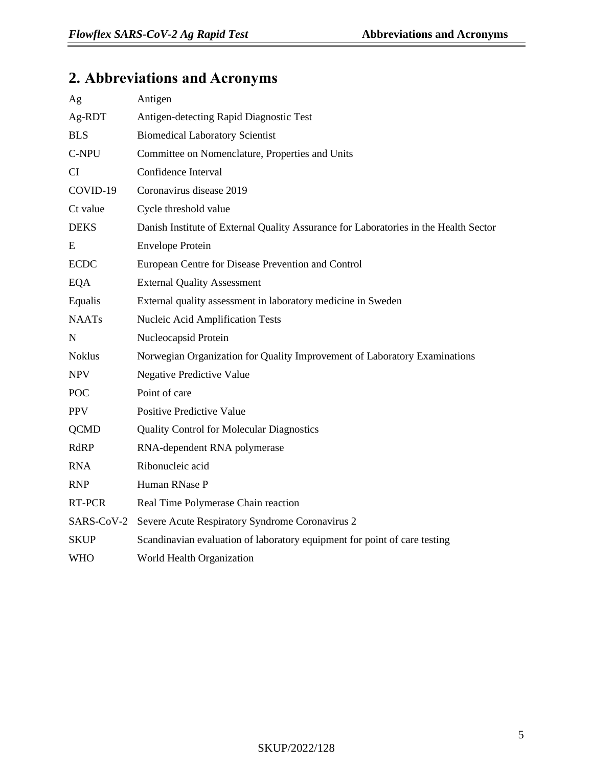# **2. Abbreviations and Acronyms**

| Ag            | Antigen                                                                              |
|---------------|--------------------------------------------------------------------------------------|
| Ag-RDT        | Antigen-detecting Rapid Diagnostic Test                                              |
| <b>BLS</b>    | <b>Biomedical Laboratory Scientist</b>                                               |
| C-NPU         | Committee on Nomenclature, Properties and Units                                      |
| <b>CI</b>     | Confidence Interval                                                                  |
| COVID-19      | Coronavirus disease 2019                                                             |
| Ct value      | Cycle threshold value                                                                |
| <b>DEKS</b>   | Danish Institute of External Quality Assurance for Laboratories in the Health Sector |
| E             | <b>Envelope Protein</b>                                                              |
| <b>ECDC</b>   | European Centre for Disease Prevention and Control                                   |
| <b>EQA</b>    | <b>External Quality Assessment</b>                                                   |
| Equalis       | External quality assessment in laboratory medicine in Sweden                         |
| <b>NAATs</b>  | Nucleic Acid Amplification Tests                                                     |
| N             | Nucleocapsid Protein                                                                 |
| <b>Noklus</b> | Norwegian Organization for Quality Improvement of Laboratory Examinations            |
| <b>NPV</b>    | <b>Negative Predictive Value</b>                                                     |
| <b>POC</b>    | Point of care                                                                        |
| <b>PPV</b>    | <b>Positive Predictive Value</b>                                                     |
| <b>QCMD</b>   | <b>Quality Control for Molecular Diagnostics</b>                                     |
| RdRP          | RNA-dependent RNA polymerase                                                         |
| <b>RNA</b>    | Ribonucleic acid                                                                     |
| <b>RNP</b>    | Human RNase P                                                                        |
| RT-PCR        | Real Time Polymerase Chain reaction                                                  |
| SARS-CoV-2    | Severe Acute Respiratory Syndrome Coronavirus 2                                      |
| <b>SKUP</b>   | Scandinavian evaluation of laboratory equipment for point of care testing            |
| <b>WHO</b>    | World Health Organization                                                            |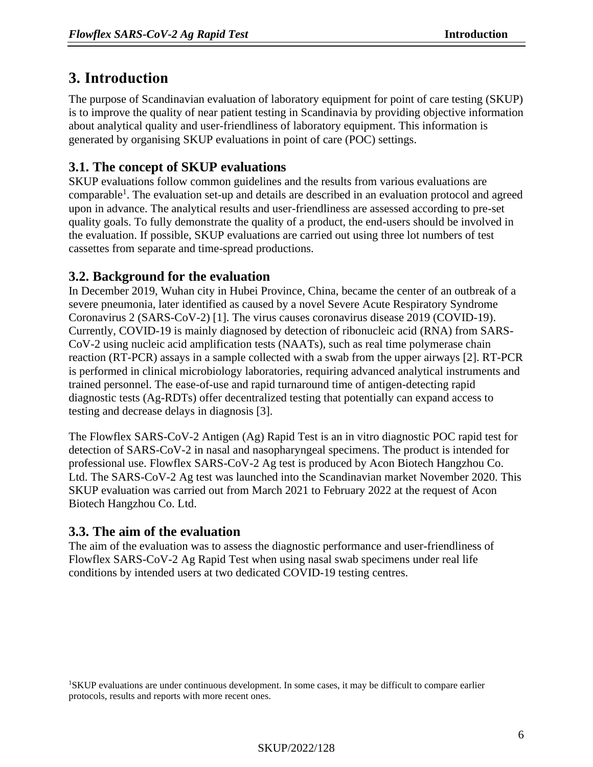# <span id="page-5-0"></span>**3. Introduction**

The purpose of Scandinavian evaluation of laboratory equipment for point of care testing (SKUP) is to improve the quality of near patient testing in Scandinavia by providing objective information about analytical quality and user-friendliness of laboratory equipment. This information is generated by organising SKUP evaluations in point of care (POC) settings.

### **3.1. The concept of SKUP evaluations**

SKUP evaluations follow common guidelines and the results from various evaluations are comparable<sup>1</sup>. The evaluation set-up and details are described in an evaluation protocol and agreed upon in advance. The analytical results and user-friendliness are assessed according to pre-set quality goals. To fully demonstrate the quality of a product, the end-users should be involved in the evaluation. If possible, SKUP evaluations are carried out using three lot numbers of test cassettes from separate and time-spread productions.

### **3.2. Background for the evaluation**

In December 2019, Wuhan city in Hubei Province, China, became the center of an outbreak of a severe pneumonia, later identified as caused by a novel Severe Acute Respiratory Syndrome Coronavirus 2 (SARS-CoV-2) [1]. The virus causes coronavirus disease 2019 (COVID-19). Currently, COVID-19 is mainly diagnosed by detection of ribonucleic acid (RNA) from SARS-CoV-2 using nucleic acid amplification tests (NAATs), such as real time polymerase chain reaction (RT-PCR) assays in a sample collected with a swab from the upper airways [2]. RT-PCR is performed in clinical microbiology laboratories, requiring advanced analytical instruments and trained personnel. The ease-of-use and rapid turnaround time of antigen-detecting rapid diagnostic tests (Ag-RDTs) offer decentralized testing that potentially can expand access to testing and decrease delays in diagnosis [3].

The Flowflex SARS-CoV-2 Antigen (Ag) Rapid Test is an in vitro diagnostic POC rapid test for detection of SARS-CoV-2 in nasal and nasopharyngeal specimens. The product is intended for professional use. Flowflex SARS-CoV-2 Ag test is produced by Acon Biotech Hangzhou Co. Ltd. The SARS-CoV-2 Ag test was launched into the Scandinavian market November 2020. This SKUP evaluation was carried out from March 2021 to February 2022 at the request of Acon Biotech Hangzhou Co. Ltd.

# **3.3. The aim of the evaluation**

The aim of the evaluation was to assess the diagnostic performance and user-friendliness of Flowflex SARS-CoV-2 Ag Rapid Test when using nasal swab specimens under real life conditions by intended users at two dedicated COVID-19 testing centres.

<sup>1</sup>SKUP evaluations are under continuous development. In some cases, it may be difficult to compare earlier protocols, results and reports with more recent ones.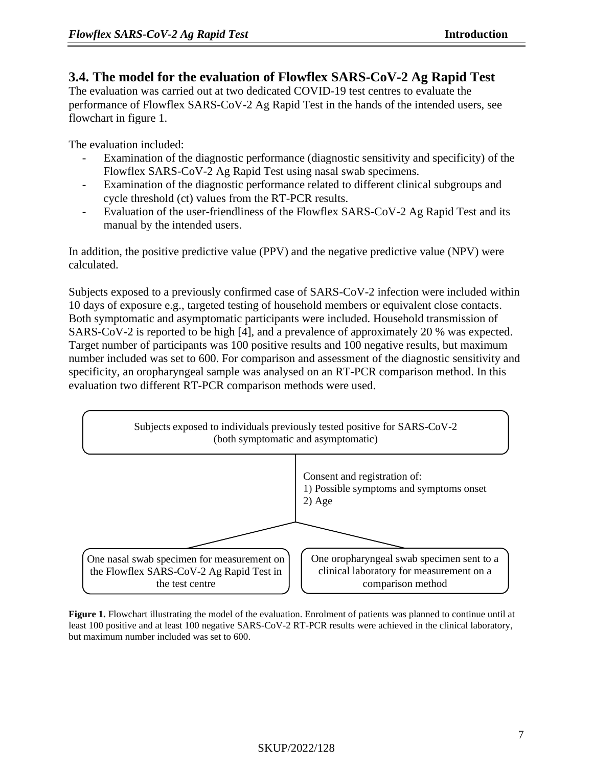#### **3.4. The model for the evaluation of Flowflex SARS-CoV-2 Ag Rapid Test**

The evaluation was carried out at two dedicated COVID-19 test centres to evaluate the performance of Flowflex SARS-CoV-2 Ag Rapid Test in the hands of the intended users, see flowchart in figure 1.

The evaluation included:

- Examination of the diagnostic performance (diagnostic sensitivity and specificity) of the Flowflex SARS-CoV-2 Ag Rapid Test using nasal swab specimens.
- Examination of the diagnostic performance related to different clinical subgroups and cycle threshold (ct) values from the RT-PCR results.
- Evaluation of the user-friendliness of the Flowflex SARS-CoV-2 Ag Rapid Test and its manual by the intended users.

In addition, the positive predictive value (PPV) and the negative predictive value (NPV) were calculated.

Subjects exposed to a previously confirmed case of SARS-CoV-2 infection were included within 10 days of exposure e.g., targeted testing of household members or equivalent close contacts. Both symptomatic and asymptomatic participants were included. Household transmission of SARS-CoV-2 is reported to be high [4], and a prevalence of approximately 20 % was expected. Target number of participants was 100 positive results and 100 negative results, but maximum number included was set to 600. For comparison and assessment of the diagnostic sensitivity and specificity, an oropharyngeal sample was analysed on an RT-PCR comparison method. In this evaluation two different RT-PCR comparison methods were used.



**Figure 1.** Flowchart illustrating the model of the evaluation. Enrolment of patients was planned to continue until at least 100 positive and at least 100 negative SARS-CoV-2 RT-PCR results were achieved in the clinical laboratory, but maximum number included was set to 600.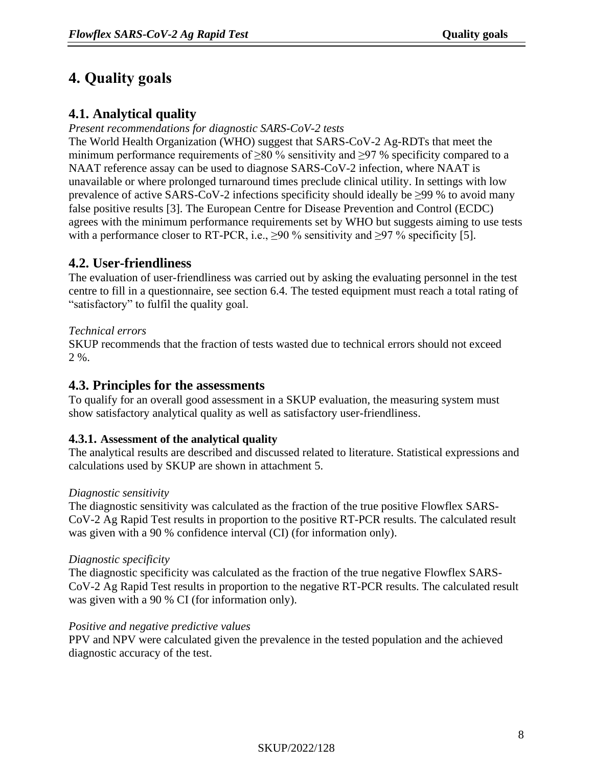# **4. Quality goals**

# **4.1. Analytical quality**

#### *Present recommendations for diagnostic SARS-CoV-2 tests*

The World Health Organization (WHO) suggest that SARS-CoV-2 Ag-RDTs that meet the minimum performance requirements of  $\geq 80$  % sensitivity and  $\geq 97$  % specificity compared to a NAAT reference assay can be used to diagnose SARS-CoV-2 infection, where NAAT is unavailable or where prolonged turnaround times preclude clinical utility. In settings with low prevalence of active SARS-CoV-2 infections specificity should ideally be  $\geq$ 99 % to avoid many false positive results [3]. The European Centre for Disease Prevention and Control (ECDC) agrees with the minimum performance requirements set by WHO but suggests aiming to use tests with a performance closer to RT-PCR, i.e.,  $\geq$ 90 % sensitivity and  $\geq$ 97 % specificity [5].

# **4.2. User-friendliness**

The evaluation of user-friendliness was carried out by asking the evaluating personnel in the test centre to fill in a questionnaire, see section 6.4. The tested equipment must reach a total rating of "satisfactory" to fulfil the quality goal.

### *Technical errors*

SKUP recommends that the fraction of tests wasted due to technical errors should not exceed 2 %.

# **4.3. Principles for the assessments**

To qualify for an overall good assessment in a SKUP evaluation, the measuring system must show satisfactory analytical quality as well as satisfactory user-friendliness.

### **4.3.1. Assessment of the analytical quality**

The analytical results are described and discussed related to literature. Statistical expressions and calculations used by SKUP are shown in attachment 5.

### *Diagnostic sensitivity*

The diagnostic sensitivity was calculated as the fraction of the true positive Flowflex SARS-CoV-2 Ag Rapid Test results in proportion to the positive RT-PCR results. The calculated result was given with a 90 % confidence interval (CI) (for information only).

### *Diagnostic specificity*

The diagnostic specificity was calculated as the fraction of the true negative Flowflex SARS-CoV-2 Ag Rapid Test results in proportion to the negative RT-PCR results. The calculated result was given with a 90 % CI (for information only).

### *Positive and negative predictive values*

PPV and NPV were calculated given the prevalence in the tested population and the achieved diagnostic accuracy of the test.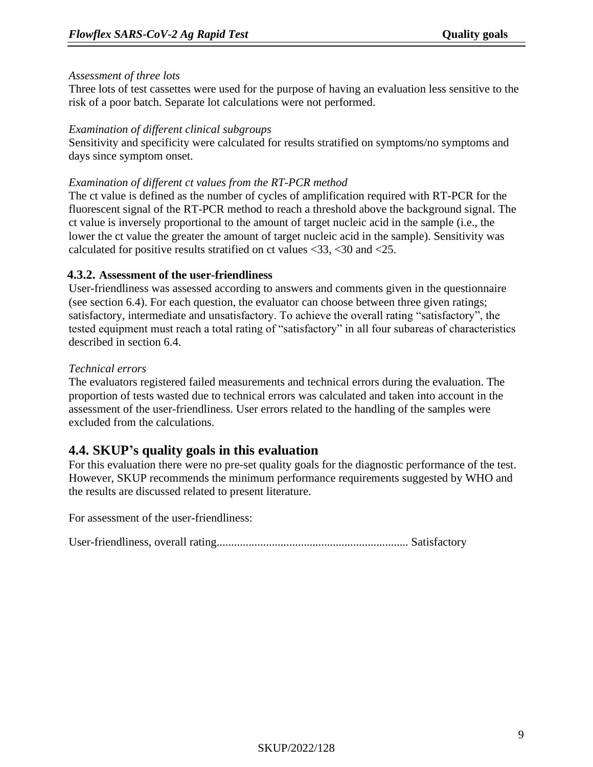#### *Assessment of three lots*

Three lots of test cassettes were used for the purpose of having an evaluation less sensitive to the risk of a poor batch. Separate lot calculations were not performed.

#### *Examination of different clinical subgroups*

Sensitivity and specificity were calculated for results stratified on symptoms/no symptoms and days since symptom onset.

#### *Examination of different ct values from the RT-PCR method*

The ct value is defined as the number of cycles of amplification required with RT-PCR for the fluorescent signal of the RT-PCR method to reach a threshold above the background signal. The ct value is inversely proportional to the amount of target nucleic acid in the sample (i.e., the lower the ct value the greater the amount of target nucleic acid in the sample). Sensitivity was calculated for positive results stratified on ct values <33, <30 and <25.

#### **4.3.2. Assessment of the user-friendliness**

User-friendliness was assessed according to answers and comments given in the questionnaire (see section 6.4). For each question, the evaluator can choose between three given ratings; satisfactory, intermediate and unsatisfactory. To achieve the overall rating "satisfactory", the tested equipment must reach a total rating of "satisfactory" in all four subareas of characteristics described in section 6.4.

#### *Technical errors*

The evaluators registered failed measurements and technical errors during the evaluation. The proportion of tests wasted due to technical errors was calculated and taken into account in the assessment of the user-friendliness. User errors related to the handling of the samples were excluded from the calculations.

### **4.4. SKUP's quality goals in this evaluation**

For this evaluation there were no pre-set quality goals for the diagnostic performance of the test. However, SKUP recommends the minimum performance requirements suggested by WHO and the results are discussed related to present literature.

For assessment of the user-friendliness:

User-friendliness, overall rating.................................................................. Satisfactory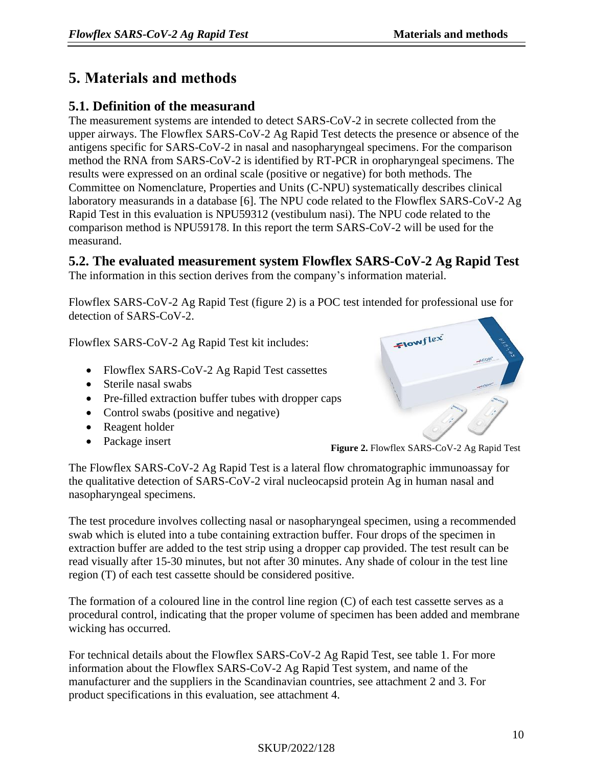# **5. Materials and methods**

# **5.1. Definition of the measurand**

The measurement systems are intended to detect SARS-CoV-2 in secrete collected from the upper airways. The Flowflex SARS-CoV-2 Ag Rapid Test detects the presence or absence of the antigens specific for SARS-CoV-2 in nasal and nasopharyngeal specimens. For the comparison method the RNA from SARS-CoV-2 is identified by RT-PCR in oropharyngeal specimens. The results were expressed on an ordinal scale (positive or negative) for both methods. The Committee on Nomenclature, Properties and Units (C-NPU) systematically describes clinical laboratory measurands in a database [6]. The NPU code related to the Flowflex SARS-CoV-2 Ag Rapid Test in this evaluation is NPU59312 (vestibulum nasi). The NPU code related to the comparison method is NPU59178. In this report the term SARS-CoV-2 will be used for the measurand.

**5.2. The evaluated measurement system Flowflex SARS-CoV-2 Ag Rapid Test**

The information in this section derives from the company's information material.

Flowflex SARS-CoV-2 Ag Rapid Test (figure 2) is a POC test intended for professional use for detection of SARS-CoV-2.

Flowflex SARS-CoV-2 Ag Rapid Test kit includes:

- Flowflex SARS-CoV-2 Ag Rapid Test cassettes
- Sterile nasal swabs
- Pre-filled extraction buffer tubes with dropper caps
- Control swabs (positive and negative)
- Reagent holder
- Package insert



**Figure 2.** Flowflex SARS-CoV-2 Ag Rapid Test

The Flowflex SARS-CoV-2 Ag Rapid Test is a lateral flow chromatographic immunoassay for the qualitative detection of SARS-CoV-2 viral nucleocapsid protein Ag in human nasal and nasopharyngeal specimens.

The test procedure involves collecting nasal or nasopharyngeal specimen, using a recommended swab which is eluted into a tube containing extraction buffer. Four drops of the specimen in extraction buffer are added to the test strip using a dropper cap provided. The test result can be read visually after 15-30 minutes, but not after 30 minutes. Any shade of colour in the test line region (T) of each test cassette should be considered positive.

The formation of a coloured line in the control line region (C) of each test cassette serves as a procedural control, indicating that the proper volume of specimen has been added and membrane wicking has occurred.

For technical details about the Flowflex SARS-CoV-2 Ag Rapid Test, see table 1. For more information about the Flowflex SARS-CoV-2 Ag Rapid Test system, and name of the manufacturer and the suppliers in the Scandinavian countries, see attachment 2 and 3. For product specifications in this evaluation, see attachment 4.

### SKUP/2022/128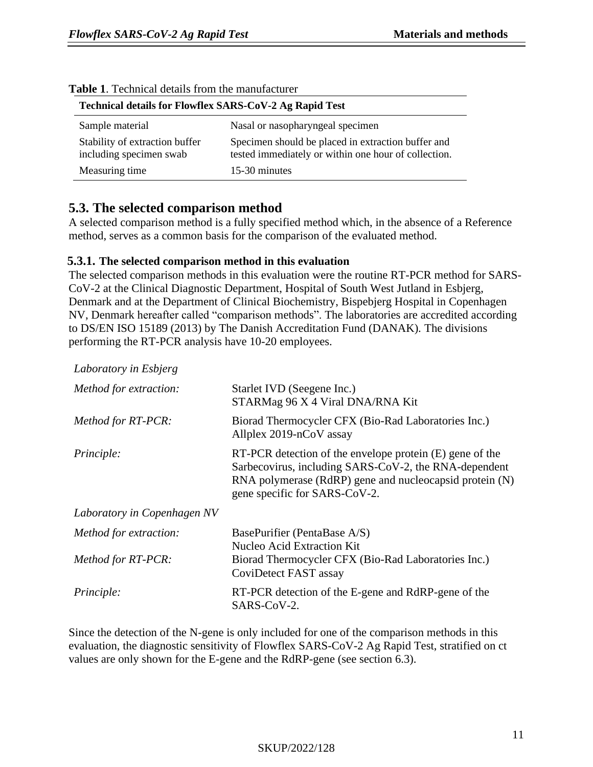| Technical details for Flowflex SARS-CoV-2 Ag Rapid Test   |                                                                                                            |  |  |
|-----------------------------------------------------------|------------------------------------------------------------------------------------------------------------|--|--|
| Sample material                                           | Nasal or nasopharyngeal specimen                                                                           |  |  |
| Stability of extraction buffer<br>including specimen swab | Specimen should be placed in extraction buffer and<br>tested immediately or within one hour of collection. |  |  |
| Measuring time                                            | 15-30 minutes                                                                                              |  |  |

#### **Table 1**. Technical details from the manufacturer

### **5.3. The selected comparison method**

A selected comparison method is a fully specified method which, in the absence of a Reference method, serves as a common basis for the comparison of the evaluated method.

#### **5.3.1. The selected comparison method in this evaluation**

The selected comparison methods in this evaluation were the routine RT-PCR method for SARS-CoV-2 at the Clinical Diagnostic Department, Hospital of South West Jutland in Esbjerg, Denmark and at the Department of Clinical Biochemistry, Bispebjerg Hospital in Copenhagen NV, Denmark hereafter called "comparison methods". The laboratories are accredited according to DS/EN ISO 15189 (2013) by The Danish Accreditation Fund (DANAK). The divisions performing the RT-PCR analysis have 10-20 employees.

| Laboratory in Esbjerg       |                                                                                                                                                                                                               |
|-----------------------------|---------------------------------------------------------------------------------------------------------------------------------------------------------------------------------------------------------------|
| Method for extraction:      | Starlet IVD (Seegene Inc.)<br>STARMag 96 X 4 Viral DNA/RNA Kit                                                                                                                                                |
| Method for RT-PCR:          | Biorad Thermocycler CFX (Bio-Rad Laboratories Inc.)<br>Allplex 2019-nCoV assay                                                                                                                                |
| Principle:                  | RT-PCR detection of the envelope protein (E) gene of the<br>Sarbecovirus, including SARS-CoV-2, the RNA-dependent<br>RNA polymerase (RdRP) gene and nucleocapsid protein (N)<br>gene specific for SARS-CoV-2. |
| Laboratory in Copenhagen NV |                                                                                                                                                                                                               |
| Method for extraction:      | BasePurifier (PentaBase A/S)<br><b>Nucleo Acid Extraction Kit</b>                                                                                                                                             |
| Method for RT-PCR:          | Biorad Thermocycler CFX (Bio-Rad Laboratories Inc.)<br>CoviDetect FAST assay                                                                                                                                  |
| <i>Principle:</i>           | RT-PCR detection of the E-gene and RdRP-gene of the<br>SARS-CoV-2.                                                                                                                                            |

Since the detection of the N-gene is only included for one of the comparison methods in this evaluation, the diagnostic sensitivity of Flowflex SARS-CoV-2 Ag Rapid Test, stratified on ct values are only shown for the E-gene and the RdRP-gene (see section 6.3).

#### SKUP/2022/128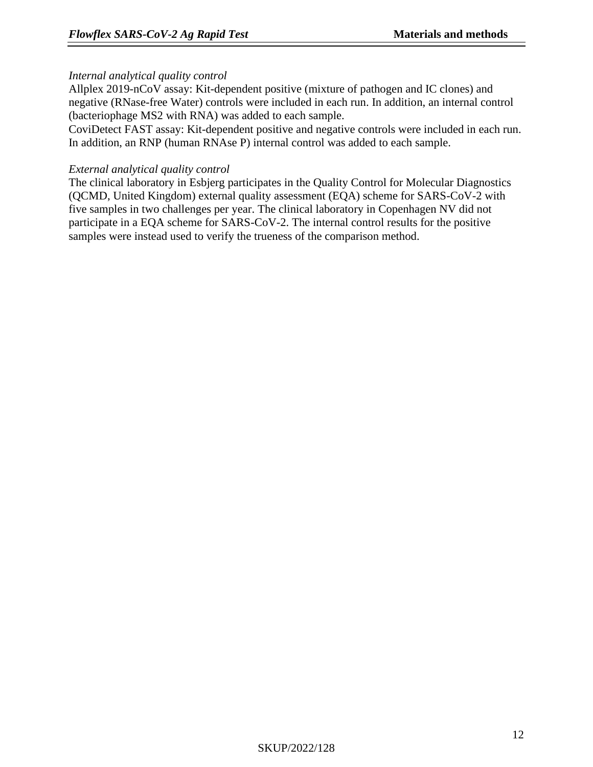#### *Internal analytical quality control*

Allplex 2019-nCoV assay: Kit-dependent positive (mixture of pathogen and IC clones) and negative (RNase-free Water) controls were included in each run. In addition, an internal control (bacteriophage MS2 with RNA) was added to each sample.

CoviDetect FAST assay: Kit-dependent positive and negative controls were included in each run. In addition, an RNP (human RNAse P) internal control was added to each sample.

#### *External analytical quality control*

The clinical laboratory in Esbjerg participates in the Quality Control for Molecular Diagnostics (QCMD, United Kingdom) external quality assessment (EQA) scheme for SARS-CoV-2 with five samples in two challenges per year. The clinical laboratory in Copenhagen NV did not participate in a EQA scheme for SARS-CoV-2. The internal control results for the positive samples were instead used to verify the trueness of the comparison method.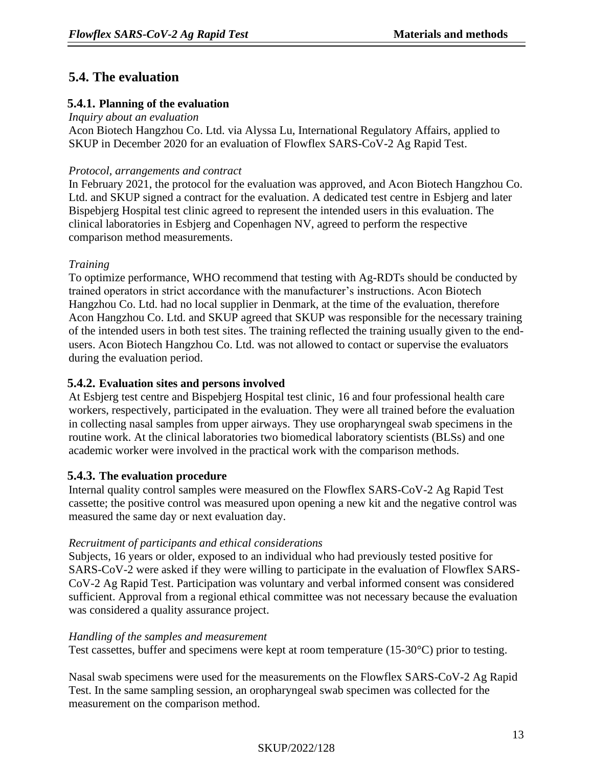# **5.4. The evaluation**

### **5.4.1. Planning of the evaluation**

#### *Inquiry about an evaluation*

Acon Biotech Hangzhou Co. Ltd. via Alyssa Lu, International Regulatory Affairs, applied to SKUP in December 2020 for an evaluation of Flowflex SARS-CoV-2 Ag Rapid Test.

#### *Protocol, arrangements and contract*

In February 2021, the protocol for the evaluation was approved, and Acon Biotech Hangzhou Co. Ltd. and SKUP signed a contract for the evaluation. A dedicated test centre in Esbjerg and later Bispebjerg Hospital test clinic agreed to represent the intended users in this evaluation. The clinical laboratories in Esbjerg and Copenhagen NV, agreed to perform the respective comparison method measurements.

### *Training*

To optimize performance, WHO recommend that testing with Ag-RDTs should be conducted by trained operators in strict accordance with the manufacturer's instructions. Acon Biotech Hangzhou Co. Ltd. had no local supplier in Denmark, at the time of the evaluation, therefore Acon Hangzhou Co. Ltd. and SKUP agreed that SKUP was responsible for the necessary training of the intended users in both test sites. The training reflected the training usually given to the endusers. Acon Biotech Hangzhou Co. Ltd. was not allowed to contact or supervise the evaluators during the evaluation period.

### **5.4.2. Evaluation sites and persons involved**

At Esbjerg test centre and Bispebjerg Hospital test clinic, 16 and four professional health care workers, respectively, participated in the evaluation. They were all trained before the evaluation in collecting nasal samples from upper airways. They use oropharyngeal swab specimens in the routine work. At the clinical laboratories two biomedical laboratory scientists (BLSs) and one academic worker were involved in the practical work with the comparison methods.

### **5.4.3. The evaluation procedure**

Internal quality control samples were measured on the Flowflex SARS-CoV-2 Ag Rapid Test cassette; the positive control was measured upon opening a new kit and the negative control was measured the same day or next evaluation day.

#### *Recruitment of participants and ethical considerations*

Subjects, 16 years or older, exposed to an individual who had previously tested positive for SARS-CoV-2 were asked if they were willing to participate in the evaluation of Flowflex SARS-CoV-2 Ag Rapid Test. Participation was voluntary and verbal informed consent was considered sufficient. Approval from a regional ethical committee was not necessary because the evaluation was considered a quality assurance project.

#### *Handling of the samples and measurement*

Test cassettes, buffer and specimens were kept at room temperature (15-30°C) prior to testing.

Nasal swab specimens were used for the measurements on the Flowflex SARS-CoV-2 Ag Rapid Test. In the same sampling session, an oropharyngeal swab specimen was collected for the measurement on the comparison method.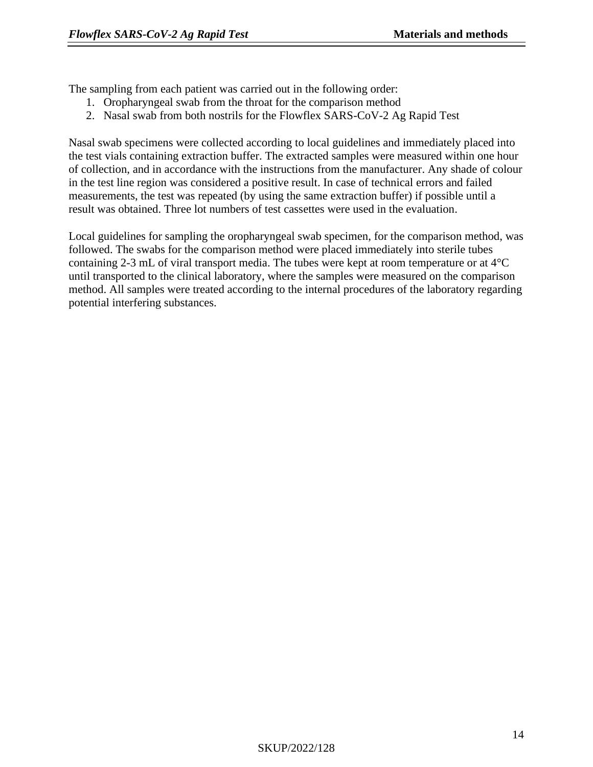The sampling from each patient was carried out in the following order:

- 1. Oropharyngeal swab from the throat for the comparison method
- 2. Nasal swab from both nostrils for the Flowflex SARS-CoV-2 Ag Rapid Test

Nasal swab specimens were collected according to local guidelines and immediately placed into the test vials containing extraction buffer. The extracted samples were measured within one hour of collection, and in accordance with the instructions from the manufacturer. Any shade of colour in the test line region was considered a positive result. In case of technical errors and failed measurements, the test was repeated (by using the same extraction buffer) if possible until a result was obtained. Three lot numbers of test cassettes were used in the evaluation.

Local guidelines for sampling the oropharyngeal swab specimen, for the comparison method, was followed. The swabs for the comparison method were placed immediately into sterile tubes containing 2-3 mL of viral transport media. The tubes were kept at room temperature or at 4°C until transported to the clinical laboratory, where the samples were measured on the comparison method. All samples were treated according to the internal procedures of the laboratory regarding potential interfering substances.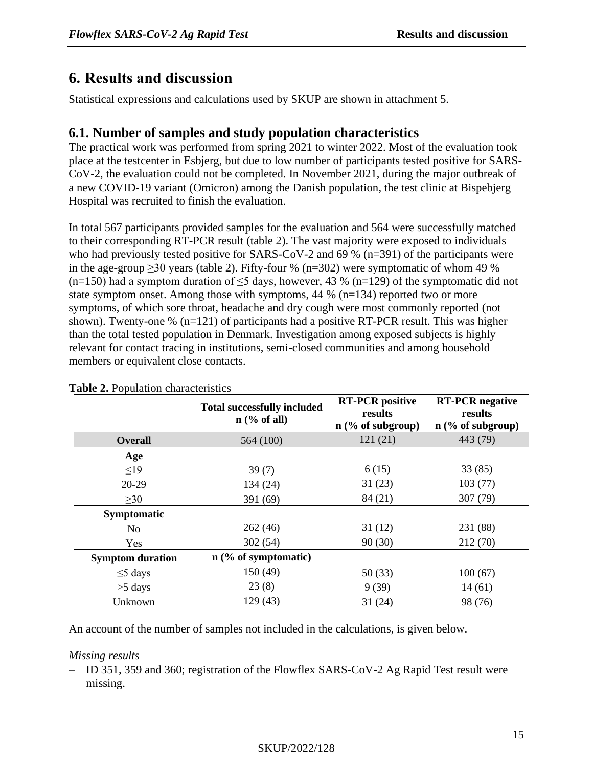# <span id="page-14-0"></span>**6. Results and discussion**

Statistical expressions and calculations used by SKUP are shown in attachment 5.

# **6.1. Number of samples and study population characteristics**

The practical work was performed from spring 2021 to winter 2022. Most of the evaluation took place at the testcenter in Esbjerg, but due to low number of participants tested positive for SARS-CoV-2, the evaluation could not be completed. In November 2021, during the major outbreak of a new COVID-19 variant (Omicron) among the Danish population, the test clinic at Bispebjerg Hospital was recruited to finish the evaluation.

In total 567 participants provided samples for the evaluation and 564 were successfully matched to their corresponding RT-PCR result (table 2). The vast majority were exposed to individuals who had previously tested positive for SARS-CoV-2 and 69 %  $(n=391)$  of the participants were in the age-group  $\geq$ 30 years (table 2). Fifty-four % (n=302) were symptomatic of whom 49 % (n=150) had a symptom duration of  $\leq$ 5 days, however, 43 % (n=129) of the symptomatic did not state symptom onset. Among those with symptoms, 44 % (n=134) reported two or more symptoms, of which sore throat, headache and dry cough were most commonly reported (not shown). Twenty-one % (n=121) of participants had a positive RT-PCR result. This was higher than the total tested population in Denmark. Investigation among exposed subjects is highly relevant for contact tracing in institutions, semi-closed communities and among household members or equivalent close contacts.

|                         | <b>Total successfully included</b><br>$n$ (% of all) | <b>RT-PCR</b> positive<br>results<br>$n$ (% of subgroup) | <b>RT-PCR</b> negative<br>results<br>$n$ (% of subgroup) |
|-------------------------|------------------------------------------------------|----------------------------------------------------------|----------------------------------------------------------|
| <b>Overall</b>          | 564 (100)                                            | 121(21)                                                  | 443 (79)                                                 |
| Age                     |                                                      |                                                          |                                                          |
| $\leq$ 19               | 39(7)                                                | 6(15)                                                    | 33(85)                                                   |
| $20-29$                 | 134(24)                                              | 31(23)                                                   | 103(77)                                                  |
| $\geq 30$               | 391 (69)                                             | 84 (21)                                                  | 307 (79)                                                 |
| Symptomatic             |                                                      |                                                          |                                                          |
| No                      | 262(46)                                              | 31(12)                                                   | 231 (88)                                                 |
| Yes                     | 302(54)                                              | 90(30)                                                   | 212(70)                                                  |
| <b>Symptom duration</b> | $n$ (% of symptomatic)                               |                                                          |                                                          |
| $\leq$ 5 days           | 150(49)                                              | 50(33)                                                   | 100(67)                                                  |
| $>5$ days               | 23(8)                                                | 9(39)                                                    | 14(61)                                                   |
| Unknown                 | 129(43)                                              | 31(24)                                                   | 98 (76)                                                  |

#### **Table 2.** Population characteristics

An account of the number of samples not included in the calculations, is given below.

#### *Missing results*

− ID 351, 359 and 360; registration of the Flowflex SARS-CoV-2 Ag Rapid Test result were missing.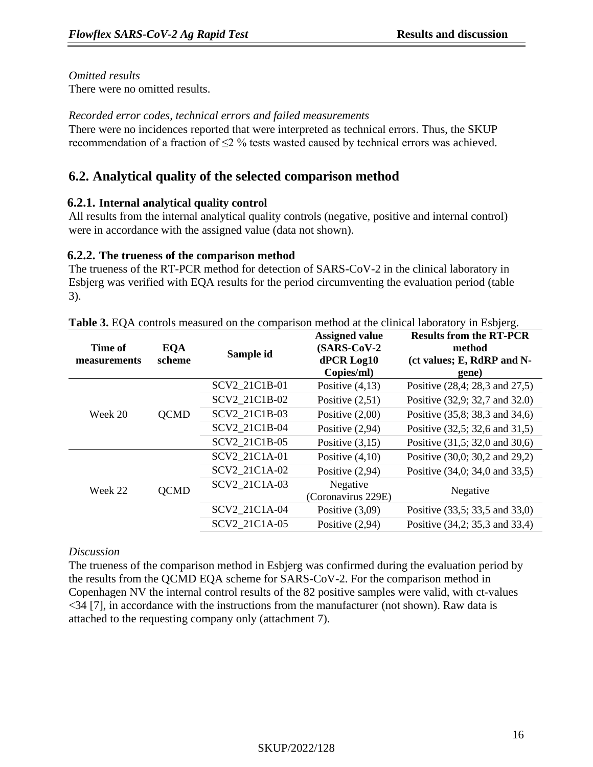*Omitted results*

There were no omitted results.

#### *Recorded error codes, technical errors and failed measurements*

There were no incidences reported that were interpreted as technical errors. Thus, the SKUP recommendation of a fraction of ≤2 % tests wasted caused by technical errors was achieved.

# **6.2. Analytical quality of the selected comparison method**

#### **6.2.1. Internal analytical quality control**

All results from the internal analytical quality controls (negative, positive and internal control) were in accordance with the assigned value (data not shown).

#### **6.2.2. The trueness of the comparison method**

The trueness of the RT-PCR method for detection of SARS-CoV-2 in the clinical laboratory in Esbjerg was verified with EQA results for the period circumventing the evaluation period (table 3).

| Time of<br>measurements | <b>EQA</b><br>scheme | Sample id     | <b>Assigned value</b><br>$(SARS-CoV-2)$<br>dPCR Log10<br>Copies/ml) | <b>Results from the RT-PCR</b><br>method<br>(ct values; E, RdRP and N-<br>gene) |
|-------------------------|----------------------|---------------|---------------------------------------------------------------------|---------------------------------------------------------------------------------|
|                         |                      | SCV2_21C1B-01 | Positive $(4,13)$                                                   | Positive (28,4; 28,3 and 27,5)                                                  |
|                         |                      | SCV2 21C1B-02 | Positive $(2,51)$                                                   | Positive (32,9; 32,7 and 32.0)                                                  |
| Week 20                 | <b>QCMD</b>          | SCV2 21C1B-03 | Positive $(2,00)$                                                   | Positive (35,8; 38,3 and 34,6)                                                  |
|                         |                      | SCV2 21C1B-04 | Positive $(2,94)$                                                   | Positive (32,5; 32,6 and 31,5)                                                  |
|                         |                      | SCV2 21C1B-05 | Positive $(3,15)$                                                   | Positive (31,5; 32,0 and 30,6)                                                  |
|                         |                      | SCV2 21C1A-01 | Positive $(4,10)$                                                   | Positive (30,0; 30,2 and 29,2)                                                  |
| Week 22                 | <b>QCMD</b>          | SCV2 21C1A-02 | Positive $(2,94)$                                                   | Positive (34,0; 34,0 and 33,5)                                                  |
|                         |                      | SCV2 21C1A-03 | Negative<br>(Coronavirus 229E)                                      | Negative                                                                        |
|                         |                      | SCV2_21C1A-04 | Positive $(3,09)$                                                   | Positive (33,5; 33,5 and 33,0)                                                  |
|                         |                      | SCV2 21C1A-05 | Positive $(2,94)$                                                   | Positive (34,2; 35,3 and 33,4)                                                  |

**Table 3.** EQA controls measured on the comparison method at the clinical laboratory in Esbjerg.

#### *Discussion*

The trueness of the comparison method in Esbjerg was confirmed during the evaluation period by the results from the QCMD EQA scheme for SARS-CoV-2. For the comparison method in Copenhagen NV the internal control results of the 82 positive samples were valid, with ct-values <34 [7], in accordance with the instructions from the manufacturer (not shown). Raw data is attached to the requesting company only (attachment 7).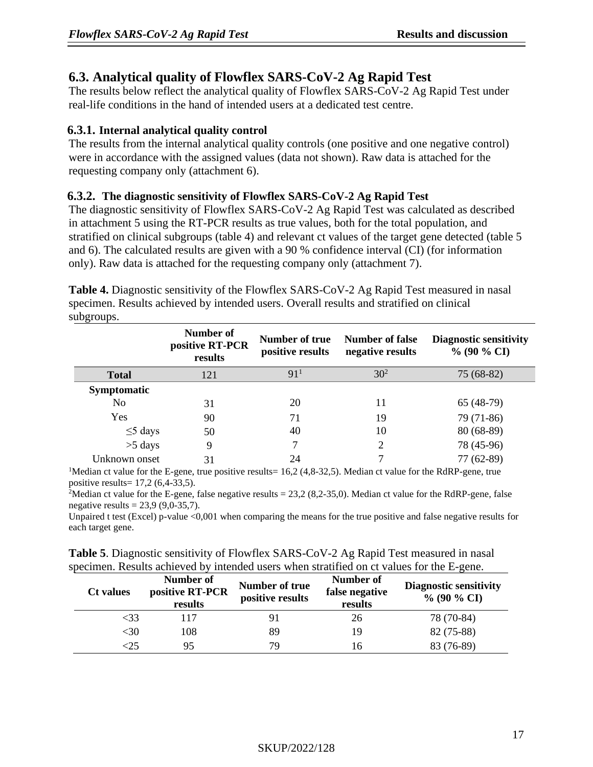# **6.3. Analytical quality of Flowflex SARS-CoV-2 Ag Rapid Test**

The results below reflect the analytical quality of Flowflex SARS-CoV-2 Ag Rapid Test under real-life conditions in the hand of intended users at a dedicated test centre.

### **6.3.1. Internal analytical quality control**

The results from the internal analytical quality controls (one positive and one negative control) were in accordance with the assigned values (data not shown). Raw data is attached for the requesting company only (attachment 6).

#### **6.3.2. The diagnostic sensitivity of Flowflex SARS-CoV-2 Ag Rapid Test**

The diagnostic sensitivity of Flowflex SARS-CoV-2 Ag Rapid Test was calculated as described in attachment 5 using the RT-PCR results as true values, both for the total population, and stratified on clinical subgroups (table 4) and relevant ct values of the target gene detected (table 5 and 6). The calculated results are given with a 90 % confidence interval (CI) (for information only). Raw data is attached for the requesting company only (attachment 7).

**Table 4.** Diagnostic sensitivity of the Flowflex SARS-CoV-2 Ag Rapid Test measured in nasal specimen. Results achieved by intended users. Overall results and stratified on clinical subgroups.

|                    | Number of<br>positive RT-PCR<br>results | Number of true<br>positive results | Number of false<br>negative results | <b>Diagnostic sensitivity</b><br>$\%$ (90 $\%$ CI) |
|--------------------|-----------------------------------------|------------------------------------|-------------------------------------|----------------------------------------------------|
| <b>Total</b>       | 121                                     | 91 <sup>1</sup>                    | $30^{2}$                            | $75(68-82)$                                        |
| <b>Symptomatic</b> |                                         |                                    |                                     |                                                    |
| No                 | 31                                      | 20                                 | 11                                  | $65(48-79)$                                        |
| Yes                | 90                                      | 71                                 | 19                                  | 79 (71-86)                                         |
| $\leq$ 5 days      | 50                                      | 40                                 | 10                                  | $80(68-89)$                                        |
| $>5$ days          | 9                                       |                                    | 2                                   | 78 (45-96)                                         |
| Unknown onset      | 31                                      | 24                                 | ⇁                                   | 77 (62-89)                                         |

<sup>1</sup>Median ct value for the E-gene, true positive results=  $16,2$  (4,8-32,5). Median ct value for the RdRP-gene, true positive results= 17,2 (6,4-33,5).

<sup>2</sup>Median ct value for the E-gene, false negative results =  $23,2$  (8,2-35,0). Median ct value for the RdRP-gene, false negative results =  $23,9$  (9,0-35,7).

Unpaired t test (Excel) p-value <0,001 when comparing the means for the true positive and false negative results for each target gene.

|  | <b>Table 5.</b> Diagnostic sensitivity of Flowflex SARS-CoV-2 Ag Rapid Test measured in nasal |
|--|-----------------------------------------------------------------------------------------------|
|  | specimen. Results achieved by intended users when stratified on ct values for the E-gene.     |

| <b>Ct</b> values | Number of<br>positive RT-PCR<br>results | Number of true<br>positive results | Number of<br>false negative<br>results | <b>Diagnostic sensitivity</b><br>$\%$ (90 $\%$ CI) |
|------------------|-----------------------------------------|------------------------------------|----------------------------------------|----------------------------------------------------|
| <33              | 117                                     | 91                                 | 26                                     | 78 (70-84)                                         |
| <30              | 108                                     | 89                                 | 19                                     | 82 (75-88)                                         |
| :25              | 95                                      | 79                                 | 16                                     | 83 (76-89)                                         |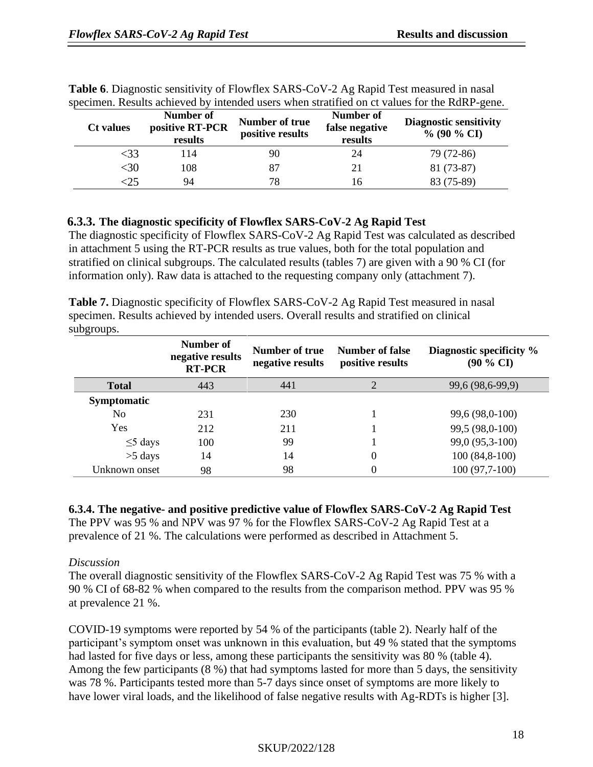| <b>Ct</b> values | Number of<br>positive RT-PCR<br>results | Number of true<br>positive results | Number of<br>false negative<br>results | <b>Diagnostic sensitivity</b><br>$\%$ (90 $\%$ CI) |
|------------------|-----------------------------------------|------------------------------------|----------------------------------------|----------------------------------------------------|
| <33              | 114                                     | 90                                 | 24                                     | 79 (72-86)                                         |
| $30$             | 108                                     | 87                                 | 21                                     | 81 (73-87)                                         |
|                  | 94                                      | 78                                 | 16                                     | 83 (75-89)                                         |

|  | Table 6. Diagnostic sensitivity of Flowflex SARS-CoV-2 Ag Rapid Test measured in nasal       |  |  |  |  |
|--|----------------------------------------------------------------------------------------------|--|--|--|--|
|  | specimen. Results achieved by intended users when stratified on ct values for the RdRP-gene. |  |  |  |  |

### **6.3.3. The diagnostic specificity of Flowflex SARS-CoV-2 Ag Rapid Test**

The diagnostic specificity of Flowflex SARS-CoV-2 Ag Rapid Test was calculated as described in attachment 5 using the RT-PCR results as true values, both for the total population and stratified on clinical subgroups. The calculated results (tables 7) are given with a 90 % CI (for information only). Raw data is attached to the requesting company only (attachment 7).

| <b>Table 7.</b> Diagnostic specificity of Flowflex SARS-CoV-2 Ag Rapid Test measured in nasal |
|-----------------------------------------------------------------------------------------------|
| specimen. Results achieved by intended users. Overall results and stratified on clinical      |
| subgroups.                                                                                    |

|                    | Number of<br>negative results<br><b>RT-PCR</b> | Number of true<br>negative results | Number of false<br>positive results | Diagnostic specificity %<br>$(90\% \text{ CI})$ |
|--------------------|------------------------------------------------|------------------------------------|-------------------------------------|-------------------------------------------------|
| <b>Total</b>       | 443                                            | 441                                | ◠                                   | 99,6 (98,6-99,9)                                |
| <b>Symptomatic</b> |                                                |                                    |                                     |                                                 |
| N <sub>0</sub>     | 231                                            | 230                                |                                     | 99,6 (98,0-100)                                 |
| Yes                | 212                                            | 211                                |                                     | 99,5 (98,0-100)                                 |
| $\leq$ 5 days      | 100                                            | 99                                 |                                     | 99,0 (95,3-100)                                 |
| $>5$ days          | 14                                             | 14                                 | $\theta$                            | $100(84,8-100)$                                 |
| Unknown onset      | 98                                             | 98                                 |                                     | $100(97,7-100)$                                 |

**6.3.4. The negative- and positive predictive value of Flowflex SARS-CoV-2 Ag Rapid Test** The PPV was 95 % and NPV was 97 % for the Flowflex SARS-CoV-2 Ag Rapid Test at a prevalence of 21 %. The calculations were performed as described in Attachment 5.

#### *Discussion*

The overall diagnostic sensitivity of the Flowflex SARS-CoV-2 Ag Rapid Test was 75 % with a 90 % CI of 68-82 % when compared to the results from the comparison method. PPV was 95 % at prevalence 21 %.

COVID-19 symptoms were reported by 54 % of the participants (table 2). Nearly half of the participant's symptom onset was unknown in this evaluation, but 49 % stated that the symptoms had lasted for five days or less, among these participants the sensitivity was 80 % (table 4). Among the few participants (8 %) that had symptoms lasted for more than 5 days, the sensitivity was 78 %. Participants tested more than 5-7 days since onset of symptoms are more likely to have lower viral loads, and the likelihood of false negative results with Ag-RDTs is higher [3].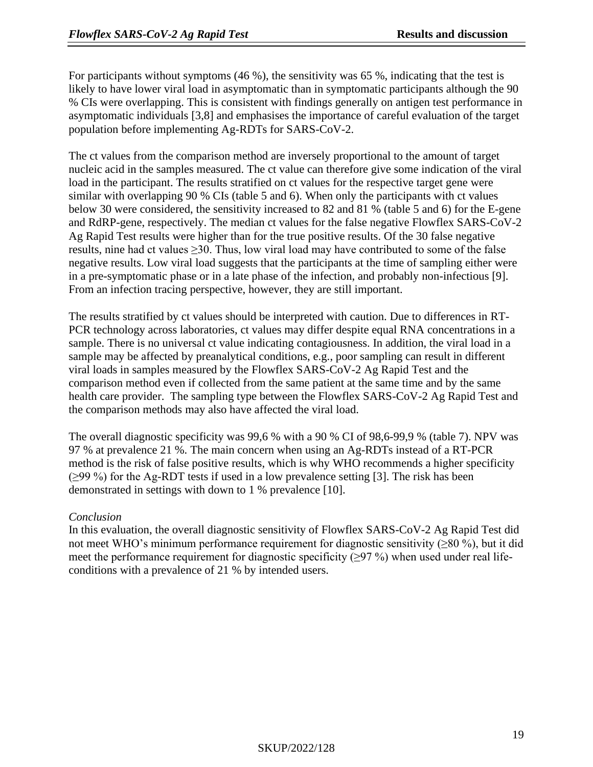For participants without symptoms (46 %), the sensitivity was 65 %, indicating that the test is likely to have lower viral load in asymptomatic than in symptomatic participants although the 90 % CIs were overlapping. This is consistent with findings generally on antigen test performance in asymptomatic individuals [3,8] and emphasises the importance of careful evaluation of the target population before implementing Ag-RDTs for SARS-CoV-2.

The ct values from the comparison method are inversely proportional to the amount of target nucleic acid in the samples measured. The ct value can therefore give some indication of the viral load in the participant. The results stratified on ct values for the respective target gene were similar with overlapping 90 % CIs (table 5 and 6). When only the participants with ct values below 30 were considered, the sensitivity increased to 82 and 81 % (table 5 and 6) for the E-gene and RdRP-gene, respectively. The median ct values for the false negative Flowflex SARS-CoV-2 Ag Rapid Test results were higher than for the true positive results. Of the 30 false negative results, nine had ct values ≥30. Thus, low viral load may have contributed to some of the false negative results. Low viral load suggests that the participants at the time of sampling either were in a pre-symptomatic phase or in a late phase of the infection, and probably non-infectious [9]. From an infection tracing perspective, however, they are still important.

The results stratified by ct values should be interpreted with caution. Due to differences in RT-PCR technology across laboratories, ct values may differ despite equal RNA concentrations in a sample. There is no universal ct value indicating contagiousness. In addition, the viral load in a sample may be affected by preanalytical conditions, e.g., poor sampling can result in different viral loads in samples measured by the Flowflex SARS-CoV-2 Ag Rapid Test and the comparison method even if collected from the same patient at the same time and by the same health care provider. The sampling type between the Flowflex SARS-CoV-2 Ag Rapid Test and the comparison methods may also have affected the viral load.

The overall diagnostic specificity was 99,6 % with a 90 % CI of 98,6-99,9 % (table 7). NPV was 97 % at prevalence 21 %. The main concern when using an Ag-RDTs instead of a RT-PCR method is the risk of false positive results, which is why WHO recommends a higher specificity (≥99 %) for the Ag-RDT tests if used in a low prevalence setting [3]. The risk has been demonstrated in settings with down to 1 % prevalence [10].

#### *Conclusion*

In this evaluation, the overall diagnostic sensitivity of Flowflex SARS-CoV-2 Ag Rapid Test did not meet WHO's minimum performance requirement for diagnostic sensitivity ( $\geq 80\%$ ), but it did meet the performance requirement for diagnostic specificity ( $\geq$ 97 %) when used under real lifeconditions with a prevalence of 21 % by intended users.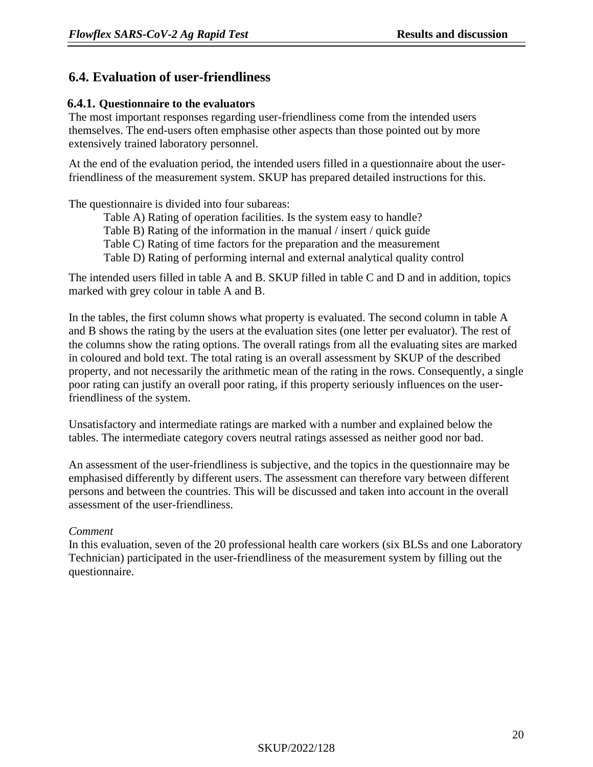## **6.4. Evaluation of user-friendliness**

#### **6.4.1. Questionnaire to the evaluators**

The most important responses regarding user-friendliness come from the intended users themselves. The end-users often emphasise other aspects than those pointed out by more extensively trained laboratory personnel.

At the end of the evaluation period, the intended users filled in a questionnaire about the userfriendliness of the measurement system. SKUP has prepared detailed instructions for this.

The questionnaire is divided into four subareas:

Table A) Rating of operation facilities. Is the system easy to handle? Table B) Rating of the information in the manual / insert / quick guide Table C) Rating of time factors for the preparation and the measurement Table D) Rating of performing internal and external analytical quality control

The intended users filled in table A and B. SKUP filled in table C and D and in addition, topics marked with grey colour in table A and B.

In the tables, the first column shows what property is evaluated. The second column in table A and B shows the rating by the users at the evaluation sites (one letter per evaluator). The rest of the columns show the rating options. The overall ratings from all the evaluating sites are marked in coloured and bold text. The total rating is an overall assessment by SKUP of the described property, and not necessarily the arithmetic mean of the rating in the rows. Consequently, a single poor rating can justify an overall poor rating, if this property seriously influences on the userfriendliness of the system.

Unsatisfactory and intermediate ratings are marked with a number and explained below the tables. The intermediate category covers neutral ratings assessed as neither good nor bad.

An assessment of the user-friendliness is subjective, and the topics in the questionnaire may be emphasised differently by different users. The assessment can therefore vary between different persons and between the countries. This will be discussed and taken into account in the overall assessment of the user-friendliness.

#### *Comment*

In this evaluation, seven of the 20 professional health care workers (six BLSs and one Laboratory Technician) participated in the user-friendliness of the measurement system by filling out the questionnaire.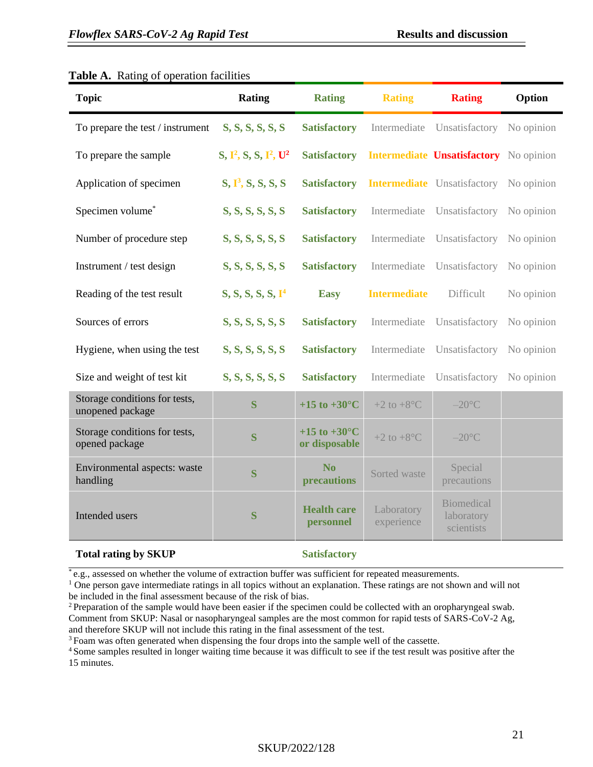#### **Topic Rating Rating Rating Rating Option** To prepare the test / instrument **S, S, S, S, S, S Satisfactory** Intermediate Unsatisfactory No opinion To prepare the sample **2 , S, S, I 2 Satisfactory Intermediate Unsatisfactory** No opinion Application of specimen **S**, **P**<sup>3</sup>, **S**, **S**, **S**, **S Satisfactory** Intermediate Unsatisfactory No opinion **Specimen volume\* S, S, S, S, S, S, S atisfactory** Intermediate Unsatisfactory No opinion Number of procedure step **S, S, S, S, S, S Satisfactory** Intermediate Unsatisfactory No opinion Instrument / test design **S, S, S, S, S, S Satisfactory** Intermediate Unsatisfactory No opinion Reading of the test result **S, S, S, S, S, I <sup>4</sup> Easy Intermediate** Difficult No opinion **Sources of errors S, S, S, S, S, S, S, S, Satisfactory** Intermediate Unsatisfactory No opinion Hygiene, when using the test **S, S, S, S, S, S Satisfactory** Intermediate Unsatisfactory No opinion **Size and weight of test kit <b>S, S, S, S, S, S, S, S Satisfactory** Intermediate Unsatisfactory No opinion Storage conditions for tests, storage conditions for tests,<br> **S**  $+15$  to  $+30^{\circ}$ C  $+2$  to  $+8^{\circ}$ C  $-20^{\circ}$ C –20<sup>o</sup>C Storage conditions for tests, Storage conditions for tests,<br>opened package **S +15 to +30°C or disposable**  $+2$  to  $+8^{\circ}$ C  $-20^{\circ}$ C Environmental aspects: waste handling **<sup>S</sup> No No**<br>**precautions** Sorted waste Special<br>precaution precautions Intended users **S Health care personnel** Laboratory experience **Biomedical** laboratory scientists **Total rating by SKUP Satisfactory**

#### **Table A.** Rating of operation facilities

\* e.g., assessed on whether the volume of extraction buffer was sufficient for repeated measurements.

 $<sup>1</sup>$  One person gave intermediate ratings in all topics without an explanation. These ratings are not shown and will not</sup> be included in the final assessment because of the risk of bias.

<sup>2</sup> Preparation of the sample would have been easier if the specimen could be collected with an oropharyngeal swab. Comment from SKUP: Nasal or nasopharyngeal samples are the most common for rapid tests of SARS-CoV-2 Ag, and therefore SKUP will not include this rating in the final assessment of the test.

<sup>3</sup> Foam was often generated when dispensing the four drops into the sample well of the cassette.

<sup>4</sup> Some samples resulted in longer waiting time because it was difficult to see if the test result was positive after the 15 minutes.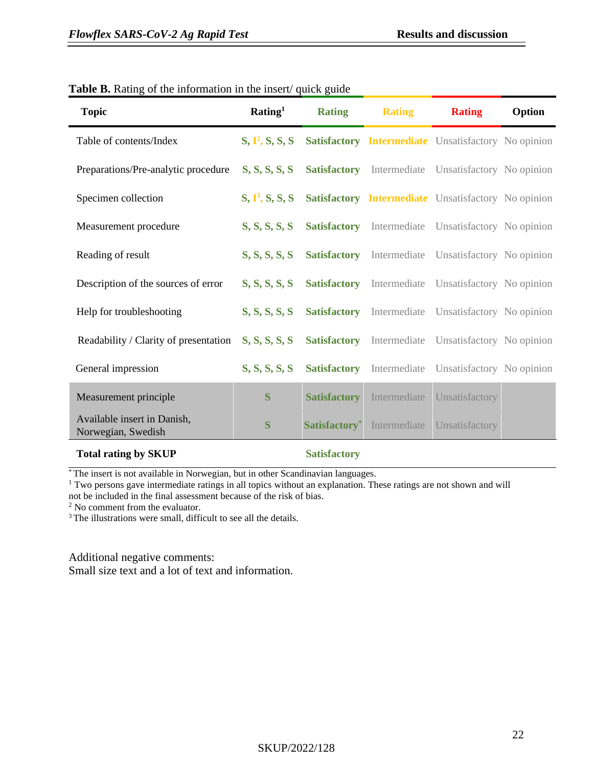| <b>Topic</b>                                                                  | Rating <sup>1</sup>         | <b>Rating</b>       | <b>Rating</b> | <b>Rating</b>                                              | Option |
|-------------------------------------------------------------------------------|-----------------------------|---------------------|---------------|------------------------------------------------------------|--------|
| Table of contents/Index                                                       | S, I <sup>2</sup> , S, S, S |                     |               | <b>Satisfactory Intermediate</b> Unsatisfactory No opinion |        |
| Preparations/Pre-analytic procedure                                           | S, S, S, S, S               | <b>Satisfactory</b> |               | Intermediate Unsatisfactory No opinion                     |        |
| Specimen collection                                                           | $S, \Gamma^3, S, S, S$      |                     |               | <b>Satisfactory Intermediate</b> Unsatisfactory No opinion |        |
| Measurement procedure                                                         | S, S, S, S, S               | <b>Satisfactory</b> |               | Intermediate Unsatisfactory No opinion                     |        |
| Reading of result                                                             | S, S, S, S, S               | <b>Satisfactory</b> |               | Intermediate Unsatisfactory No opinion                     |        |
| Description of the sources of error                                           | S, S, S, S, S               | <b>Satisfactory</b> |               | Intermediate Unsatisfactory No opinion                     |        |
| Help for troubleshooting                                                      | S, S, S, S, S               | <b>Satisfactory</b> |               | Intermediate Unsatisfactory No opinion                     |        |
| Readability / Clarity of presentation                                         | S, S, S, S, S               | <b>Satisfactory</b> |               | Intermediate Unsatisfactory No opinion                     |        |
| General impression                                                            | S, S, S, S, S               | <b>Satisfactory</b> |               | Intermediate Unsatisfactory No opinion                     |        |
| Measurement principle                                                         | S                           | <b>Satisfactory</b> | Intermediate  | Unsatisfactory                                             |        |
| Available insert in Danish,<br>Norwegian, Swedish                             | S                           | Satisfactory*       | Intermediate  | Unsatisfactory                                             |        |
| $\mathbf{m}$ $\mathbf{u}$ $\mathbf{u}$ $\mathbf{v}$ $\mathbf{v}$ $\mathbf{v}$ |                             |                     |               |                                                            |        |

#### Table B. Rating of the information in the insert/ quick guide

#### **Total rating by SKUP** Satisfactory

\* The insert is not available in Norwegian, but in other Scandinavian languages.

<sup>1</sup> Two persons gave intermediate ratings in all topics without an explanation. These ratings are not shown and will

not be included in the final assessment because of the risk of bias.

<sup>2</sup> No comment from the evaluator.

<sup>3</sup> The illustrations were small, difficult to see all the details.

Additional negative comments:

Small size text and a lot of text and information.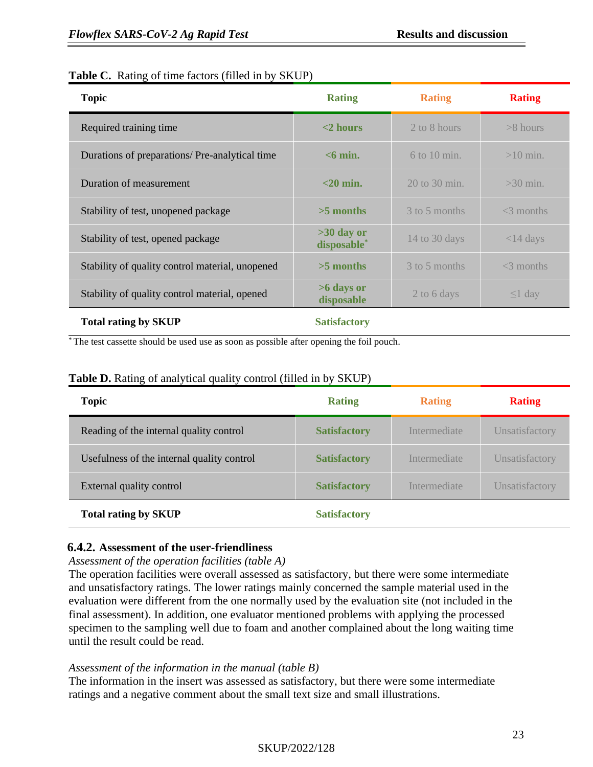#### **Table C.** Rating of time factors (filled in by SKUP)

| <b>Topic</b>                                    | <b>Rating</b>               | <b>Rating</b>     | <b>Rating</b> |
|-------------------------------------------------|-----------------------------|-------------------|---------------|
| Required training time                          | $<$ 2 hours                 | 2 to 8 hours      | $>8$ hours    |
| Durations of preparations/ Pre-analytical time  | $< 6$ min.                  | $6$ to 10 min.    | $>10$ min.    |
| Duration of measurement                         | $<$ 20 min.                 | $20$ to $30$ min. | $>30$ min.    |
| Stability of test, unopened package             | $>5$ months                 | 3 to 5 months     | $<$ 3 months  |
| Stability of test, opened package               | $>30$ day or<br>disposable* | 14 to 30 days     | $<$ 14 days   |
| Stability of quality control material, unopened | $>5$ months                 | 3 to 5 months     | $<$ 3 months  |
| Stability of quality control material, opened   | >6 days or<br>disposable    | 2 to 6 days       | $\leq$ l day  |
| <b>Total rating by SKUP</b>                     | <b>Satisfactory</b>         |                   |               |

\* The test cassette should be used use as soon as possible after opening the foil pouch.

#### Table D. Rating of analytical quality control (filled in by SKUP)

| <b>Topic</b>                               | <b>Rating</b>       | <b>Rating</b> | <b>Rating</b>  |
|--------------------------------------------|---------------------|---------------|----------------|
| Reading of the internal quality control    | <b>Satisfactory</b> | Intermediate  | Unsatisfactory |
| Usefulness of the internal quality control | <b>Satisfactory</b> | Intermediate  | Unsatisfactory |
| External quality control                   | <b>Satisfactory</b> | Intermediate  | Unsatisfactory |
| <b>Total rating by SKUP</b>                | <b>Satisfactory</b> |               |                |

#### **6.4.2. Assessment of the user-friendliness**

#### *Assessment of the operation facilities (table A)*

The operation facilities were overall assessed as satisfactory, but there were some intermediate and unsatisfactory ratings. The lower ratings mainly concerned the sample material used in the evaluation were different from the one normally used by the evaluation site (not included in the final assessment). In addition, one evaluator mentioned problems with applying the processed specimen to the sampling well due to foam and another complained about the long waiting time until the result could be read.

#### *Assessment of the information in the manual (table B)*

The information in the insert was assessed as satisfactory, but there were some intermediate ratings and a negative comment about the small text size and small illustrations.

### SKUP/2022/128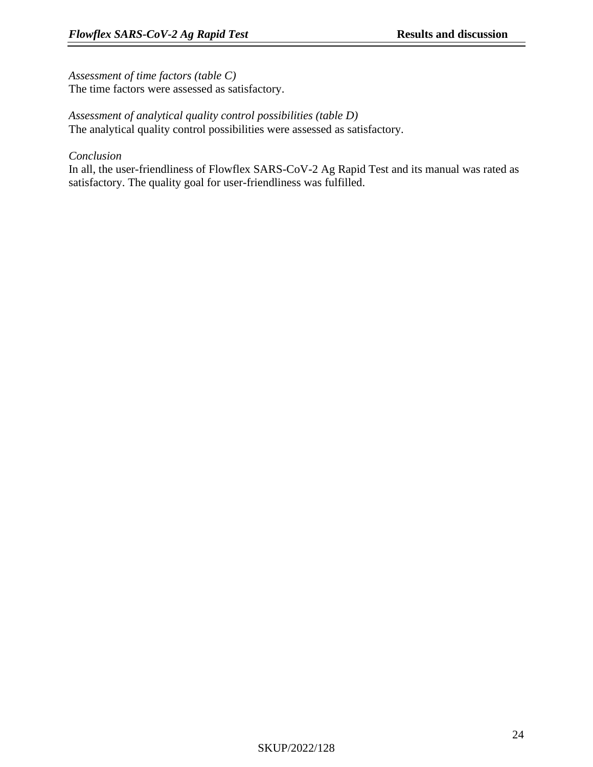*Assessment of time factors (table C)*

The time factors were assessed as satisfactory.

#### *Assessment of analytical quality control possibilities (table D)* The analytical quality control possibilities were assessed as satisfactory.

*Conclusion*

In all, the user-friendliness of Flowflex SARS-CoV-2 Ag Rapid Test and its manual was rated as satisfactory. The quality goal for user-friendliness was fulfilled.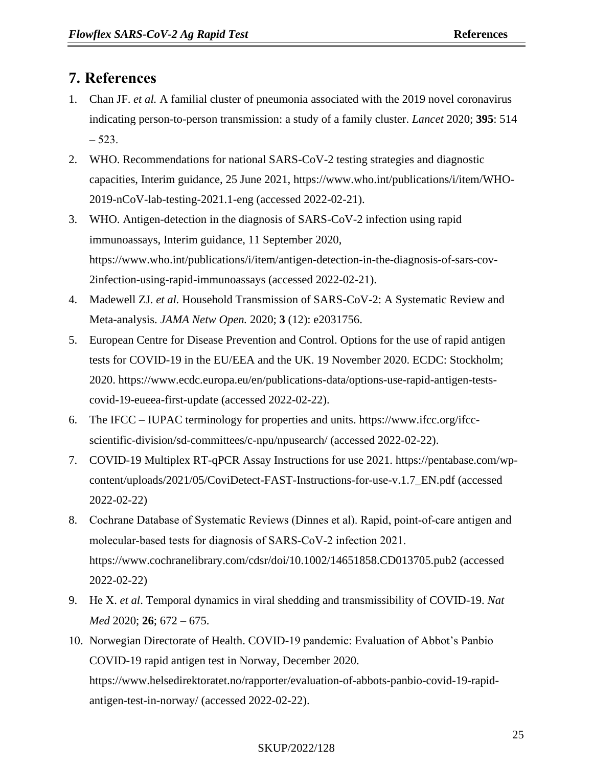# <span id="page-24-0"></span>**7. References**

- 1. Chan JF. *et al.* A familial cluster of pneumonia associated with the 2019 novel coronavirus indicating person-to-person transmission: a study of a family cluster. *Lancet* 2020; **395**: 514  $-523.$
- 2. WHO. Recommendations for national SARS-CoV-2 testing strategies and diagnostic capacities, Interim guidance, 25 June 2021, https://www.who.int/publications/i/item/WHO-2019-nCoV-lab-testing-2021.1-eng (accessed 2022-02-21).
- 3. WHO. Antigen-detection in the diagnosis of SARS-CoV-2 infection using rapid immunoassays, Interim guidance, 11 September 2020, https://www.who.int/publications/i/item/antigen-detection-in-the-diagnosis-of-sars-cov-2infection-using-rapid-immunoassays (accessed 2022-02-21).
- 4. Madewell ZJ. *et al.* Household Transmission of SARS-CoV-2: A Systematic Review and Meta-analysis. *JAMA Netw Open.* 2020; **3** (12): e2031756.
- 5. European Centre for Disease Prevention and Control. Options for the use of rapid antigen tests for COVID-19 in the EU/EEA and the UK. 19 November 2020. ECDC: Stockholm; 2020. https://www.ecdc.europa.eu/en/publications-data/options-use-rapid-antigen-testscovid-19-eueea-first-update (accessed 2022-02-22).
- 6. The IFCC IUPAC terminology for properties and units. https://www.ifcc.org/ifccscientific-division/sd-committees/c-npu/npusearch/ (accessed 2022-02-22).
- 7. COVID-19 Multiplex RT-qPCR Assay Instructions for use 2021. https://pentabase.com/wpcontent/uploads/2021/05/CoviDetect-FAST-Instructions-for-use-v.1.7\_EN.pdf (accessed 2022-02-22)
- 8. Cochrane Database of Systematic Reviews (Dinnes et al). Rapid, point‐of‐care antigen and molecular‐based tests for diagnosis of SARS‐CoV‐2 infection 2021. https://www.cochranelibrary.com/cdsr/doi/10.1002/14651858.CD013705.pub2 (accessed 2022-02-22)
- 9. He X. *et al*. Temporal dynamics in viral shedding and transmissibility of COVID-19. *Nat Med* 2020; **26**; 672 – 675.
- 10. Norwegian Directorate of Health. COVID-19 pandemic: Evaluation of Abbot's Panbio COVID-19 rapid antigen test in Norway, December 2020. https://www.helsedirektoratet.no/rapporter/evaluation-of-abbots-panbio-covid-19-rapidantigen-test-in-norway/ (accessed 2022-02-22).

#### SKUP/2022/128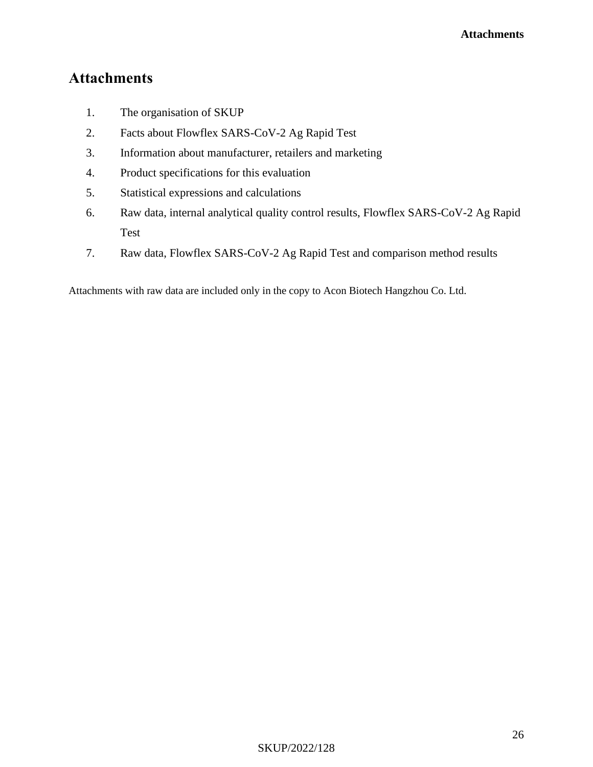# **Attachments**

- 1. The organisation of SKUP
- 2. Facts about Flowflex SARS-CoV-2 Ag Rapid Test
- 3. Information about manufacturer, retailers and marketing
- 4. Product specifications for this evaluation
- 5. Statistical expressions and calculations
- 6. Raw data, internal analytical quality control results, Flowflex SARS-CoV-2 Ag Rapid Test
- 7. Raw data, Flowflex SARS-CoV-2 Ag Rapid Test and comparison method results

Attachments with raw data are included only in the copy to Acon Biotech Hangzhou Co. Ltd.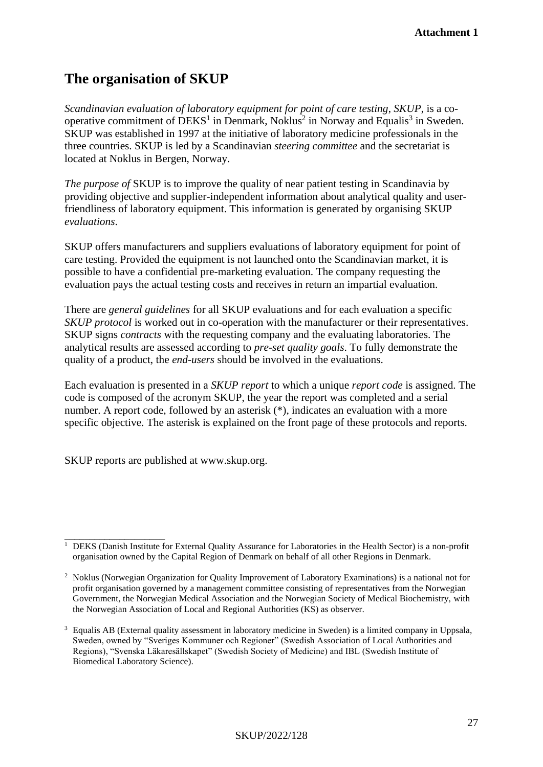# **The organisation of SKUP**

*Scandinavian evaluation of laboratory equipment for point of care testing*, *SKUP*, is a cooperative commitment of  $DEKS<sup>1</sup>$  in Denmark, Noklus<sup>2</sup> in Norway and Equalis<sup>3</sup> in Sweden. SKUP was established in 1997 at the initiative of laboratory medicine professionals in the three countries. SKUP is led by a Scandinavian *steering committee* and the secretariat is located at Noklus in Bergen, Norway.

*The purpose of* SKUP is to improve the quality of near patient testing in Scandinavia by providing objective and supplier-independent information about analytical quality and userfriendliness of laboratory equipment. This information is generated by organising SKUP *evaluations*.

SKUP offers manufacturers and suppliers evaluations of laboratory equipment for point of care testing. Provided the equipment is not launched onto the Scandinavian market, it is possible to have a confidential pre-marketing evaluation. The company requesting the evaluation pays the actual testing costs and receives in return an impartial evaluation.

There are *general guidelines* for all SKUP evaluations and for each evaluation a specific *SKUP protocol* is worked out in co-operation with the manufacturer or their representatives. SKUP signs *contracts* with the requesting company and the evaluating laboratories. The analytical results are assessed according to *pre-set quality goals*. To fully demonstrate the quality of a product, the *end-users* should be involved in the evaluations.

Each evaluation is presented in a *SKUP report* to which a unique *report code* is assigned. The code is composed of the acronym SKUP, the year the report was completed and a serial number. A report code, followed by an asterisk  $(*)$ , indicates an evaluation with a more specific objective. The asterisk is explained on the front page of these protocols and reports.

SKUP reports are published at www.skup.org.

\_\_\_\_\_\_\_\_\_\_\_\_\_\_\_\_\_\_\_\_ <sup>1</sup> DEKS (Danish Institute for External Quality Assurance for Laboratories in the Health Sector) is a non-profit organisation owned by the Capital Region of Denmark on behalf of all other Regions in Denmark.

<sup>&</sup>lt;sup>2</sup> Noklus (Norwegian Organization for Quality Improvement of Laboratory Examinations) is a national not for profit organisation governed by a management committee consisting of representatives from the Norwegian Government, the Norwegian Medical Association and the Norwegian Society of Medical Biochemistry, with the Norwegian Association of Local and Regional Authorities (KS) as observer.

<sup>3</sup> Equalis AB (External quality assessment in laboratory medicine in Sweden) is a limited company in Uppsala, Sweden, owned by "Sveriges Kommuner och Regioner" (Swedish Association of Local Authorities and Regions), "Svenska Läkaresällskapet" (Swedish Society of Medicine) and IBL (Swedish Institute of Biomedical Laboratory Science).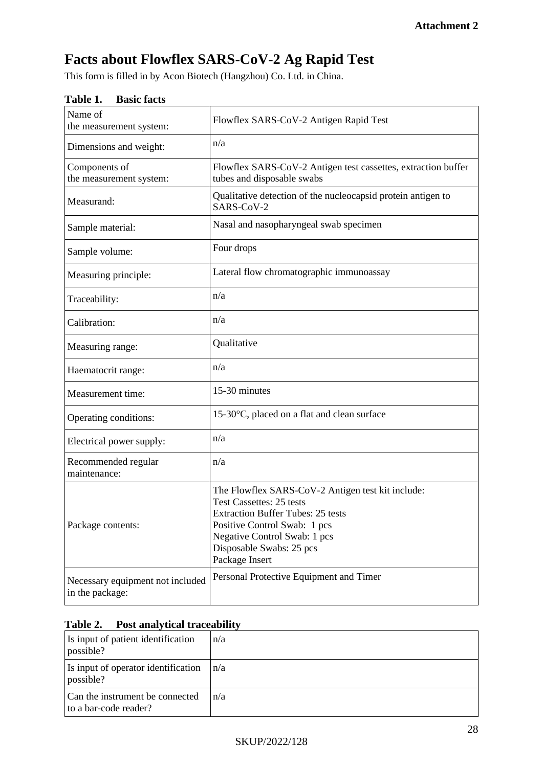# **Facts about Flowflex SARS-CoV-2 Ag Rapid Test**

This form is filled in by Acon Biotech (Hangzhou) Co. Ltd. in China.

| Name of<br>the measurement system:                  | Flowflex SARS-CoV-2 Antigen Rapid Test                                                                                                                                                                                                  |
|-----------------------------------------------------|-----------------------------------------------------------------------------------------------------------------------------------------------------------------------------------------------------------------------------------------|
| Dimensions and weight:                              | n/a                                                                                                                                                                                                                                     |
| Components of<br>the measurement system:            | Flowflex SARS-CoV-2 Antigen test cassettes, extraction buffer<br>tubes and disposable swabs                                                                                                                                             |
| Measurand:                                          | Qualitative detection of the nucleocapsid protein antigen to<br>SARS-CoV-2                                                                                                                                                              |
| Sample material:                                    | Nasal and nasopharyngeal swab specimen                                                                                                                                                                                                  |
| Sample volume:                                      | Four drops                                                                                                                                                                                                                              |
| Measuring principle:                                | Lateral flow chromatographic immunoassay                                                                                                                                                                                                |
| Traceability:                                       | n/a                                                                                                                                                                                                                                     |
| Calibration:                                        | n/a                                                                                                                                                                                                                                     |
| Measuring range:                                    | Qualitative                                                                                                                                                                                                                             |
| Haematocrit range:                                  | n/a                                                                                                                                                                                                                                     |
| Measurement time:                                   | 15-30 minutes                                                                                                                                                                                                                           |
| Operating conditions:                               | 15-30°C, placed on a flat and clean surface                                                                                                                                                                                             |
| Electrical power supply:                            | n/a                                                                                                                                                                                                                                     |
| Recommended regular<br>maintenance:                 | n/a                                                                                                                                                                                                                                     |
| Package contents:                                   | The Flowflex SARS-CoV-2 Antigen test kit include:<br>Test Cassettes: 25 tests<br><b>Extraction Buffer Tubes: 25 tests</b><br>Positive Control Swab: 1 pcs<br>Negative Control Swab: 1 pcs<br>Disposable Swabs: 25 pcs<br>Package Insert |
| Necessary equipment not included<br>in the package: | Personal Protective Equipment and Timer                                                                                                                                                                                                 |

#### **Table 1. Basic facts**

## **Table 2. Post analytical traceability**

| Is input of patient identification<br>possible?          | n/a |
|----------------------------------------------------------|-----|
| Is input of operator identification<br>possible?         | n/a |
| Can the instrument be connected<br>to a bar-code reader? | n/a |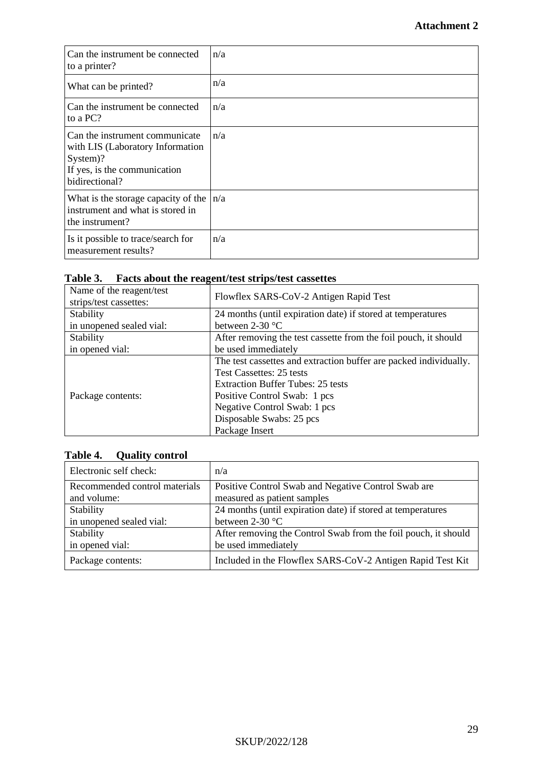| Can the instrument be connected<br>to a printer?                                                                                 | n/a |
|----------------------------------------------------------------------------------------------------------------------------------|-----|
| What can be printed?                                                                                                             | n/a |
| Can the instrument be connected<br>to a PC?                                                                                      | n/a |
| Can the instrument communicate<br>with LIS (Laboratory Information<br>System)?<br>If yes, is the communication<br>bidirectional? | n/a |
| What is the storage capacity of the<br>instrument and what is stored in<br>the instrument?                                       | n/a |
| Is it possible to trace/search for<br>measurement results?                                                                       | n/a |

# **Table 3. Facts about the reagent/test strips/test cassettes**

| Name of the reagent/test<br>strips/test cassettes: | Flowflex SARS-CoV-2 Antigen Rapid Test                                                        |
|----------------------------------------------------|-----------------------------------------------------------------------------------------------|
| Stability                                          | 24 months (until expiration date) if stored at temperatures                                   |
| in unopened sealed vial:                           | between $2-30$ °C                                                                             |
| Stability                                          | After removing the test cassette from the foil pouch, it should                               |
| in opened vial:                                    | be used immediately                                                                           |
|                                                    | The test cassettes and extraction buffer are packed individually.<br>Test Cassettes: 25 tests |
|                                                    | <b>Extraction Buffer Tubes: 25 tests</b>                                                      |
| Package contents:                                  | Positive Control Swab: 1 pcs                                                                  |
|                                                    | Negative Control Swab: 1 pcs                                                                  |
|                                                    | Disposable Swabs: 25 pcs                                                                      |
|                                                    | Package Insert                                                                                |

# **Table 4. Quality control**

| Electronic self check:        | n/a                                                            |
|-------------------------------|----------------------------------------------------------------|
| Recommended control materials | Positive Control Swab and Negative Control Swab are            |
| and volume:                   | measured as patient samples                                    |
| Stability                     | 24 months (until expiration date) if stored at temperatures    |
| in unopened sealed vial:      | between $2-30$ °C                                              |
| Stability                     | After removing the Control Swab from the foil pouch, it should |
| in opened vial:               | be used immediately                                            |
| Package contents:             | Included in the Flowflex SARS-CoV-2 Antigen Rapid Test Kit     |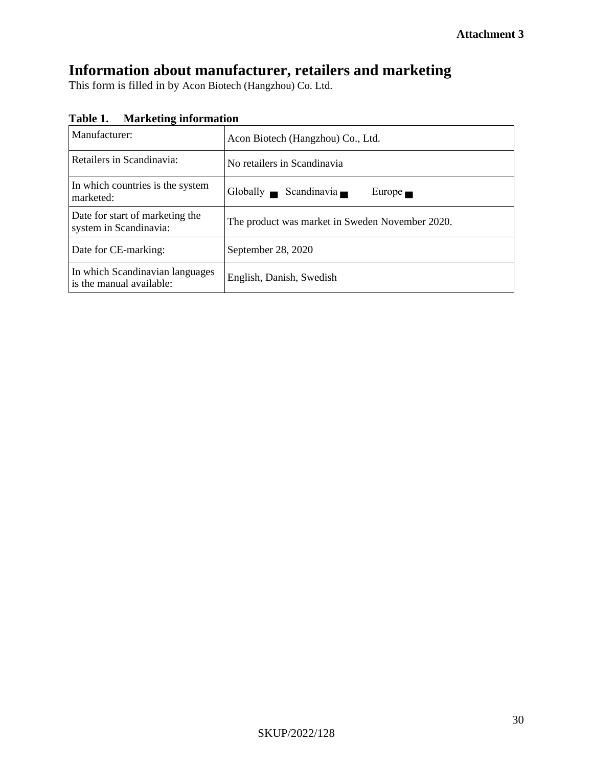# **Information about manufacturer, retailers and marketing**

This form is filled in by Acon Biotech (Hangzhou) Co. Ltd.

| Table 1. | <b>Marketing information</b> |
|----------|------------------------------|
|----------|------------------------------|

| Manufacturer:                                               | Acon Biotech (Hangzhou) Co., Ltd.               |  |  |
|-------------------------------------------------------------|-------------------------------------------------|--|--|
| Retailers in Scandinavia:                                   | No retailers in Scandinavia                     |  |  |
| In which countries is the system<br>marketed:               | Globally Scandinavia<br>Europe $\blacksquare$   |  |  |
| Date for start of marketing the<br>system in Scandinavia:   | The product was market in Sweden November 2020. |  |  |
| Date for CE-marking:                                        | September 28, 2020                              |  |  |
| In which Scandinavian languages<br>is the manual available: | English, Danish, Swedish                        |  |  |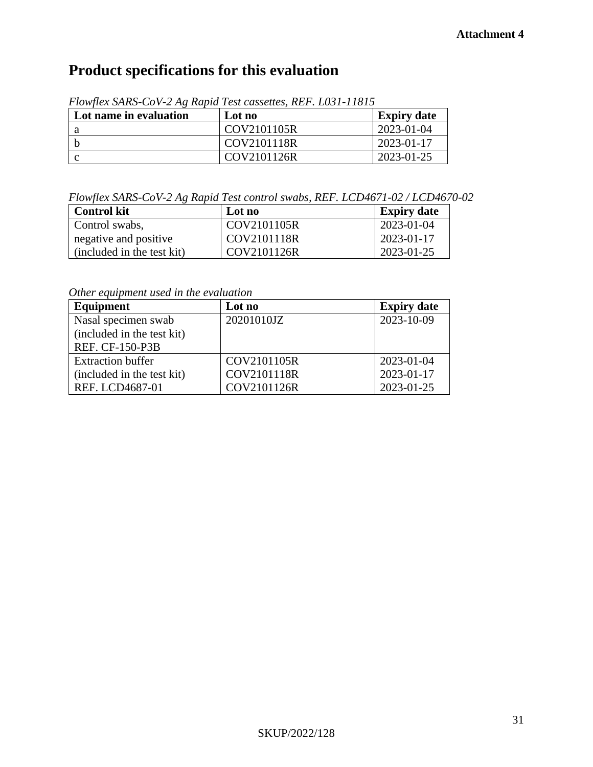# **Product specifications for this evaluation**

| Lot name in evaluation | Lot no      | <b>Expiry date</b> |
|------------------------|-------------|--------------------|
|                        | COV2101105R | 2023-01-04         |
|                        | COV2101118R | 2023-01-17         |
|                        | COV2101126R | 2023-01-25         |

*Flowflex SARS-CoV-2 Ag Rapid Test cassettes, REF. L031-11815*

*Flowflex SARS-CoV-2 Ag Rapid Test control swabs, REF. LCD4671-02 / LCD4670-02* 

| <b>Control kit</b>         | Lot no               | <b>Expiry date</b> |
|----------------------------|----------------------|--------------------|
| Control swabs,             | COV2101105R          | 2023-01-04         |
| negative and positive      | $\text{COV}2101118R$ | $2023 - 01 - 17$   |
| (included in the test kit) | COV2101126R          | 2023-01-25         |

*Other equipment used in the evaluation*

| Equipment                  | Lot no      | <b>Expiry date</b> |
|----------------------------|-------------|--------------------|
| Nasal specimen swab        | 20201010JZ  | 2023-10-09         |
| (included in the test kit) |             |                    |
| <b>REF. CF-150-P3B</b>     |             |                    |
| <b>Extraction buffer</b>   | COV2101105R | 2023-01-04         |
| (included in the test kit) | COV2101118R | 2023-01-17         |
| REF. LCD4687-01            | COV2101126R | 2023-01-25         |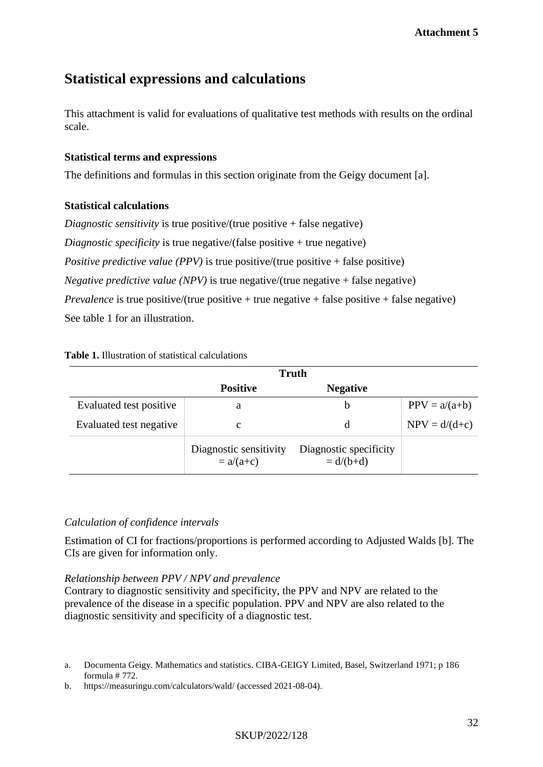# **Statistical expressions and calculations**

This attachment is valid for evaluations of qualitative test methods with results on the ordinal scale.

#### **Statistical terms and expressions**

The definitions and formulas in this section originate from the Geigy document [a].

### **Statistical calculations**

*Diagnostic sensitivity* is true positive/(true positive + false negative) *Diagnostic specificity* is true negative/(false positive + true negative) *Positive predictive value (PPV)* is true positive/(true positive + false positive) *Negative predictive value (NPV)* is true negative/(true negative + false negative) *Prevalence* is true positive/(true positive + true negative + false positive + false negative) See table 1 for an illustration.

#### **Table 1.** Illustration of statistical calculations

|                         | <b>Truth</b>                          |                                       |                 |
|-------------------------|---------------------------------------|---------------------------------------|-----------------|
|                         | <b>Positive</b>                       | <b>Negative</b>                       |                 |
| Evaluated test positive | a                                     | b                                     | $PPV = a/(a+b)$ |
| Evaluated test negative | с                                     | d                                     | $NPV = d/(d+c)$ |
|                         | Diagnostic sensitivity<br>$= a/(a+c)$ | Diagnostic specificity<br>$= d/(b+d)$ |                 |

### *Calculation of confidence intervals*

Estimation of CI for fractions/proportions is performed according to Adjusted Walds [b]. The CIs are given for information only.

#### *Relationship between PPV / NPV and prevalence*

Contrary to diagnostic sensitivity and specificity, the PPV and NPV are related to the prevalence of the disease in a specific population. PPV and NPV are also related to the diagnostic sensitivity and specificity of a diagnostic test.

#### SKUP/2022/128

a. Documenta Geigy. Mathematics and statistics. CIBA-GEIGY Limited, Basel, Switzerland 1971; p 186 formula # 772.

b. https://measuringu.com/calculators/wald/ (accessed 2021-08-04).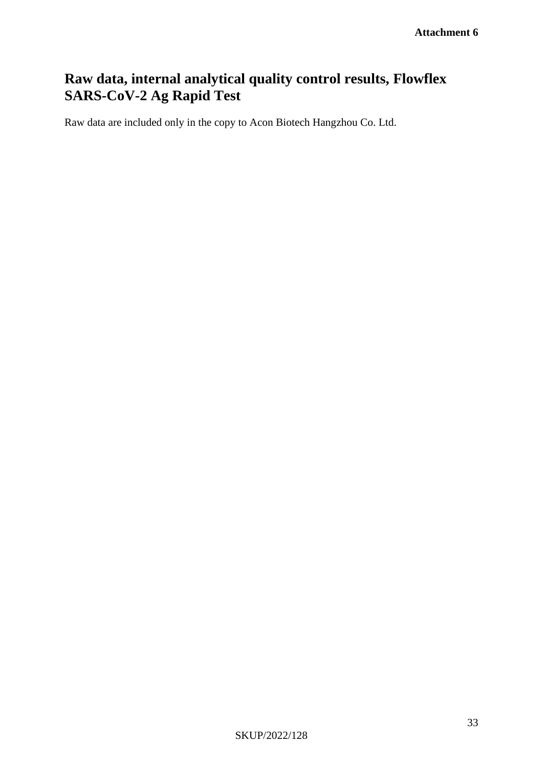# **Raw data, internal analytical quality control results, Flowflex SARS-CoV-2 Ag Rapid Test**

Raw data are included only in the copy to Acon Biotech Hangzhou Co. Ltd.